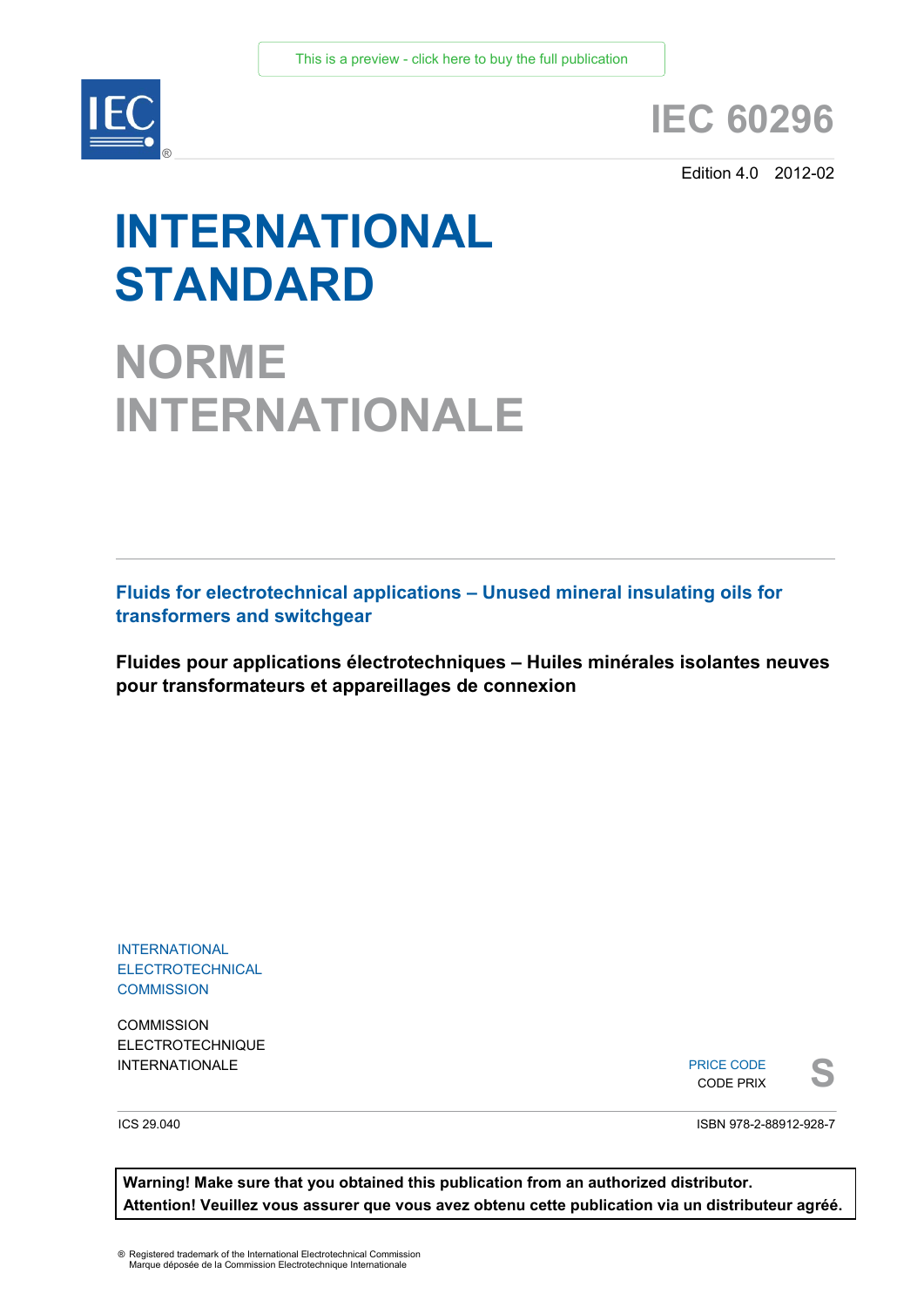

## **IEC 60296**

Edition 4.0 2012-02

# **INTERNATIONAL STANDARD**

**NORME INTERNATIONALE**

**Fluids for electrotechnical applications – Unused mineral insulating oils for transformers and switchgear** 

**Fluides pour applications électrotechniques – Huiles minérales isolantes neuves pour transformateurs et appareillages de connexion**

INTERNATIONAL **ELECTROTECHNICAL COMMISSION** 

**COMMISSION** ELECTROTECHNIQUE

INTERNATIONALE PRICE CODE PRIX PRICE CODE CODE PRIX

ICS 29.040

ISBN 978-2-88912-928-7

**Warning! Make sure that you obtained this publication from an authorized distributor. Attention! Veuillez vous assurer que vous avez obtenu cette publication via un distributeur agréé.**

® Registered trademark of the International Electrotechnical Commission Marque déposée de la Commission Electrotechnique Internationale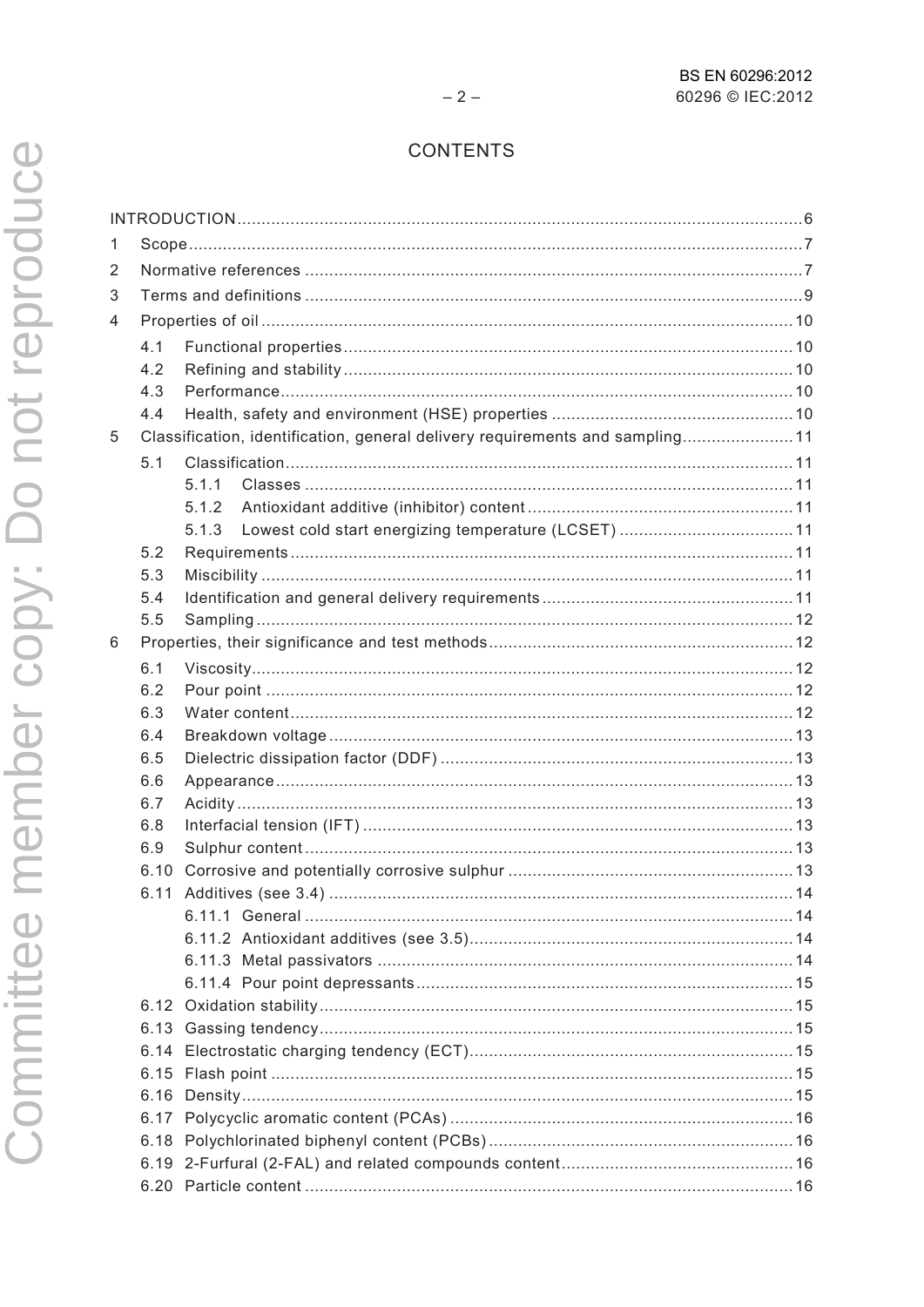## CONTENTS

| 1 |             |                                                                              |  |  |  |
|---|-------------|------------------------------------------------------------------------------|--|--|--|
| 2 |             |                                                                              |  |  |  |
| 3 |             |                                                                              |  |  |  |
| 4 |             |                                                                              |  |  |  |
|   | 4.1         |                                                                              |  |  |  |
|   | 4.2         |                                                                              |  |  |  |
|   | 4.3         |                                                                              |  |  |  |
|   | 4.4         |                                                                              |  |  |  |
| 5 |             | Classification, identification, general delivery requirements and sampling11 |  |  |  |
|   | 5.1         |                                                                              |  |  |  |
|   |             | 5.1.1                                                                        |  |  |  |
|   |             | 512                                                                          |  |  |  |
|   |             | 5.1.3                                                                        |  |  |  |
|   | 5.2         |                                                                              |  |  |  |
|   | 5.3         |                                                                              |  |  |  |
|   | 5.4         |                                                                              |  |  |  |
|   | 5.5         |                                                                              |  |  |  |
| 6 |             |                                                                              |  |  |  |
|   | 6.1         |                                                                              |  |  |  |
|   | 6.2         |                                                                              |  |  |  |
|   | 6.3         |                                                                              |  |  |  |
|   | 6.4         |                                                                              |  |  |  |
|   | 6.5         |                                                                              |  |  |  |
|   | 6.6         |                                                                              |  |  |  |
|   | 6.7         |                                                                              |  |  |  |
|   | 6.8         |                                                                              |  |  |  |
|   | 6.9<br>6.10 |                                                                              |  |  |  |
|   | 6.11        |                                                                              |  |  |  |
|   |             |                                                                              |  |  |  |
|   |             |                                                                              |  |  |  |
|   |             |                                                                              |  |  |  |
|   |             |                                                                              |  |  |  |
|   |             |                                                                              |  |  |  |
|   |             |                                                                              |  |  |  |
|   | 6.14        |                                                                              |  |  |  |
|   | 6.15        |                                                                              |  |  |  |
|   |             |                                                                              |  |  |  |
|   |             |                                                                              |  |  |  |
|   |             |                                                                              |  |  |  |
|   |             |                                                                              |  |  |  |
|   |             |                                                                              |  |  |  |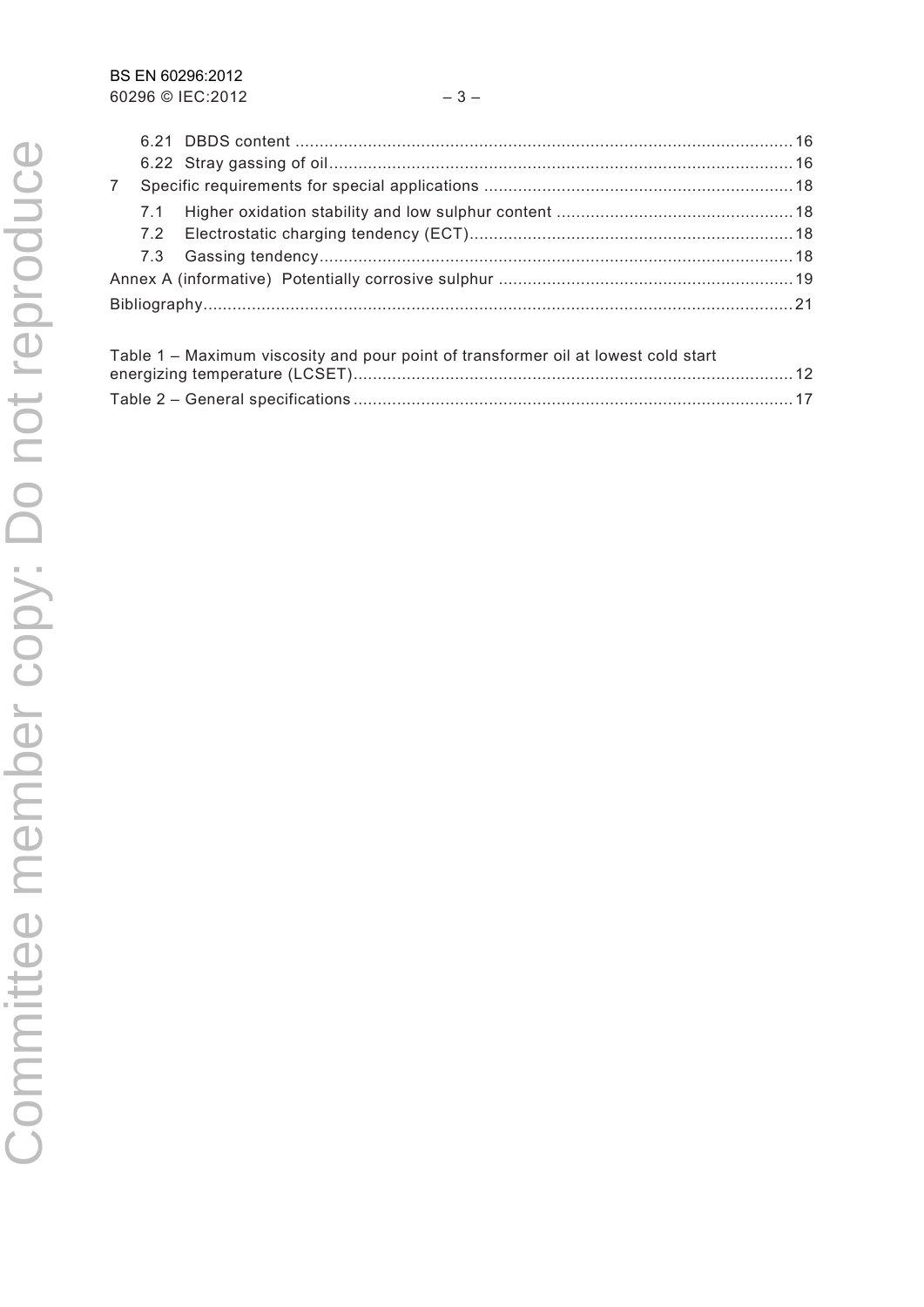| Table 1 – Maximum viscosity and pour point of transformer oil at lowest cold start |  |
|------------------------------------------------------------------------------------|--|
|                                                                                    |  |
|                                                                                    |  |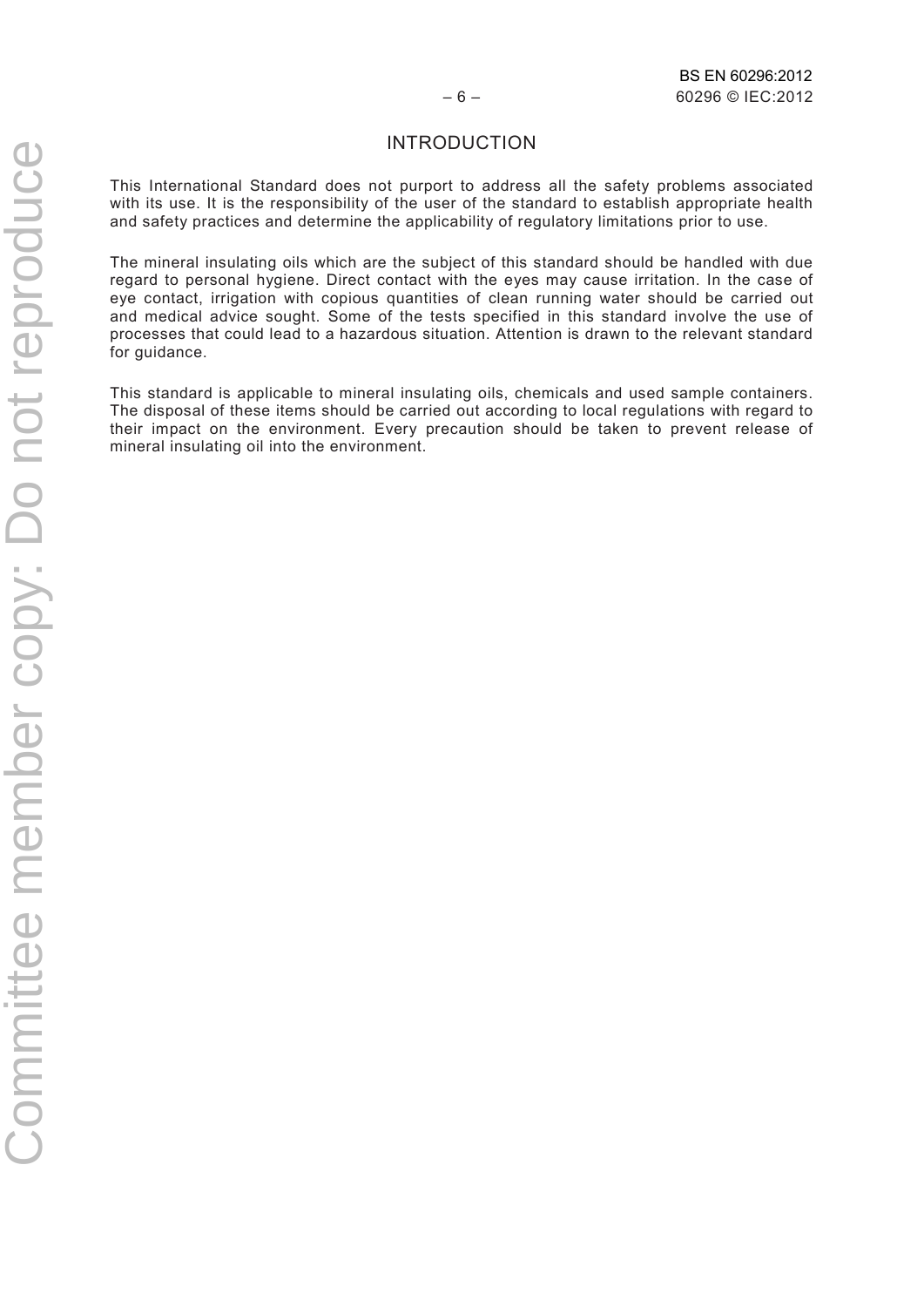#### INTRODUCTION

This International Standard does not purport to address all the safety problems associated with its use. It is the responsibility of the user of the standard to establish appropriate health and safety practices and determine the applicability of regulatory limitations prior to use.

The mineral insulating oils which are the subject of this standard should be handled with due regard to personal hygiene. Direct contact with the eyes may cause irritation. In the case of eye contact, irrigation with copious quantities of clean running water should be carried out and medical advice sought. Some of the tests specified in this standard involve the use of processes that could lead to a hazardous situation. Attention is drawn to the relevant standard for guidance.

This standard is applicable to mineral insulating oils, chemicals and used sample containers. The disposal of these items should be carried out according to local regulations with regard to their impact on the environment. Every precaution should be taken to prevent release of mineral insulating oil into the environment.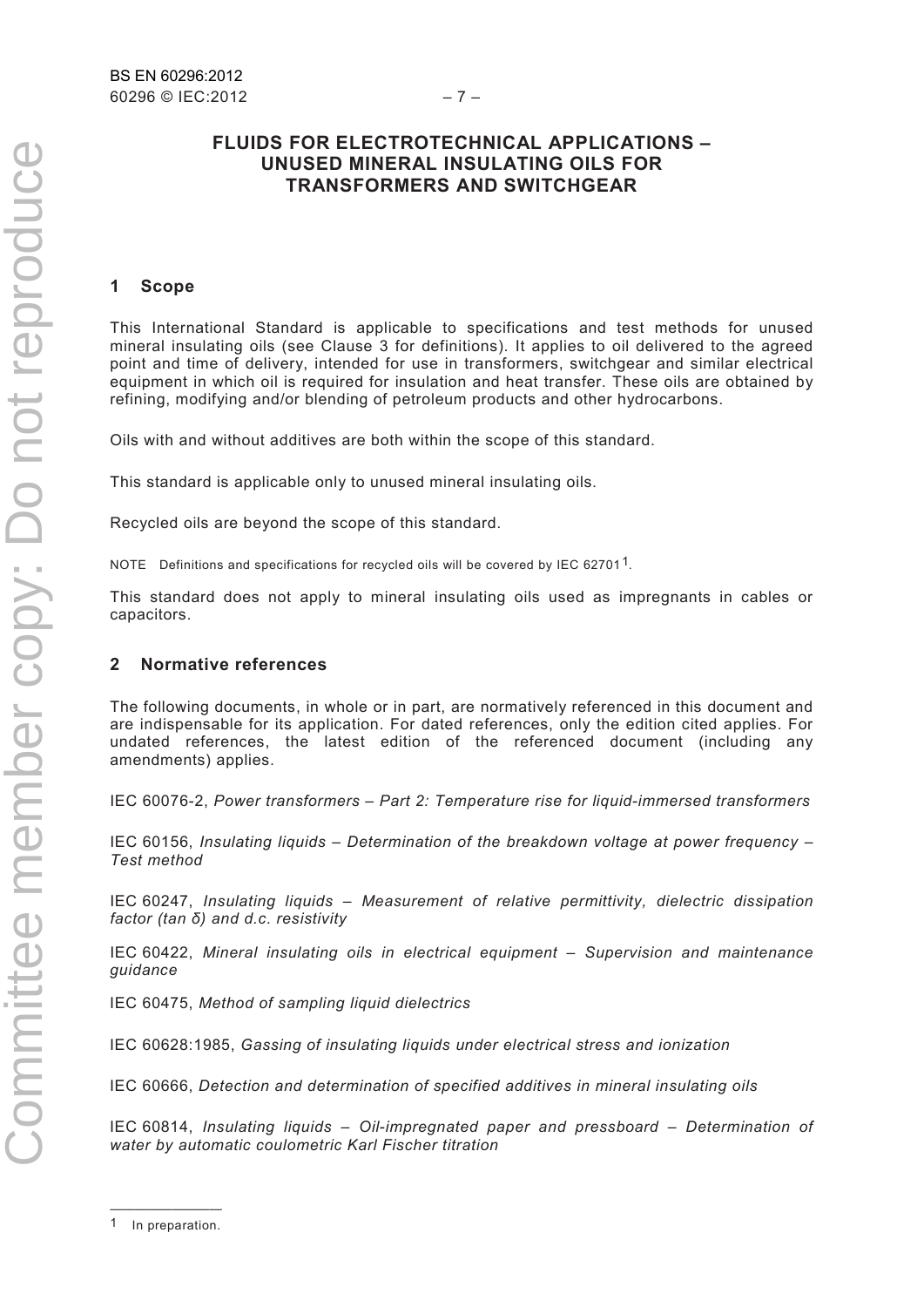#### **FLUIDS FOR ELECTROTECHNICAL APPLICATIONS – UNUSED MINERAL INSULATING OILS FOR TRANSFORMERS AND SWITCHGEAR**

#### **1 Scope**

This International Standard is applicable to specifications and test methods for unused mineral insulating oils (see Clause 3 for definitions). It applies to oil delivered to the agreed point and time of delivery, intended for use in transformers, switchgear and similar electrical equipment in which oil is required for insulation and heat transfer. These oils are obtained by refining, modifying and/or blending of petroleum products and other hydrocarbons.

Oils with and without additives are both within the scope of this standard.

This standard is applicable only to unused mineral insulating oils.

Recycled oils are beyond the scope of this standard.

NOTE Definitions and specifications for recycled oils will be covered by IEC 6270[1](#page-4-0)<sup>1</sup>.

This standard does not apply to mineral insulating oils used as impregnants in cables or capacitors.

#### **2 Normative references**

The following documents, in whole or in part, are normatively referenced in this document and are indispensable for its application. For dated references, only the edition cited applies. For undated references, the latest edition of the referenced document (including any amendments) applies.

IEC 60076-2, *Power transformers – Part 2: Temperature rise for liquid-immersed transformers*

IEC 60156, *Insulating liquids – Determination of the breakdown voltage at power frequency – Test method*

IEC 60247, *Insulating liquids – Measurement of relative permittivity, dielectric dissipation factor (tan δ) and d.c. resistivity* 

IEC 60422, *Mineral insulating oils in electrical equipment – Supervision and maintenance guidance*

IEC 60475, *Method of sampling liquid dielectrics*

IEC 60628:1985, *Gassing of insulating liquids under electrical stress and ionization*

IEC 60666, *Detection and determination of specified additives in mineral insulating oils*

IEC 60814, *Insulating liquids – Oil-impregnated paper and pressboard – Determination of water by automatic coulometric Karl Fischer titration*

Committee member copy: Do not reproduceCommittee member copy: Do not reproduce

<span id="page-4-0"></span><sup>—————————</sup>  1 In preparation.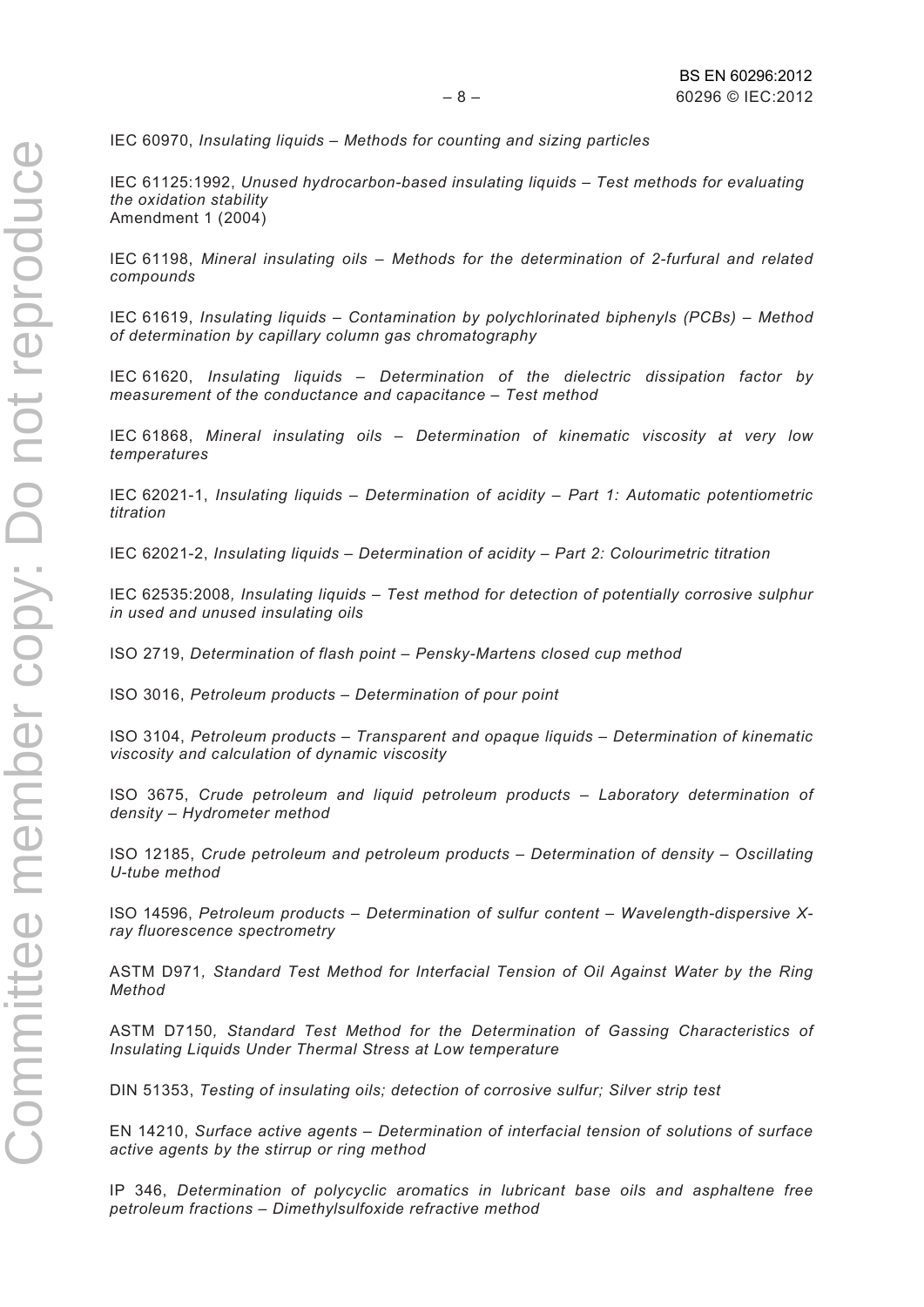IEC 60970, *Insulating liquids – Methods for counting and sizing particles* 

IEC 61125:1992, *Unused hydrocarbon-based insulating liquids – Test methods for evaluating the oxidation stability* Amendment 1 (2004)

IEC 61198, *Mineral insulating oils – Methods for the determination of 2-furfural and related compounds*

IEC 61619, *Insulating liquids – Contamination by polychlorinated biphenyls (PCBs) – Method of determination by capillary column gas chromatography*

IEC 61620, *Insulating liquids – Determination of the dielectric dissipation factor by measurement of the conductance and capacitance – Test method* 

IEC 61868, *Mineral insulating oils – Determination of kinematic viscosity at very low temperatures*

IEC 62021-1, *Insulating liquids – Determination of acidity – Part 1: Automatic potentiometric titration* 

IEC 62021-2, *Insulating liquids – Determination of acidity – Part 2: Colourimetric titration* 

IEC 62535:2008*, Insulating liquids – Test method for detection of potentially corrosive sulphur in used and unused insulating oils*

ISO 2719, *Determination of flash point – Pensky-Martens closed cup method*

ISO 3016, *Petroleum products – Determination of pour point*

ISO 3104, *Petroleum products – Transparent and opaque liquids – Determination of kinematic viscosity and calculation of dynamic viscosity*

ISO 3675, *Crude petroleum and liquid petroleum products – Laboratory determination of density – Hydrometer method*

ISO 12185, *Crude petroleum and petroleum products – Determination of density – Oscillating U-tube method*

ISO 14596, *Petroleum products – Determination of sulfur content – Wavelength-dispersive Xray fluorescence spectrometry*

ASTM D971*, Standard Test Method for Interfacial Tension of Oil Against Water by the Ring Method*

ASTM D7150*, Standard Test Method for the Determination of Gassing Characteristics of Insulating Liquids Under Thermal Stress at Low temperature*

DIN 51353, *Testing of insulating oils; detection of corrosive sulfur; Silver strip test*

EN 14210, *Surface active agents – Determination of interfacial tension of solutions of surface active agents by the stirrup or ring method* 

IP 346, *Determination of polycyclic aromatics in lubricant base oils and asphaltene free petroleum fractions – Dimethylsulfoxide refractive method*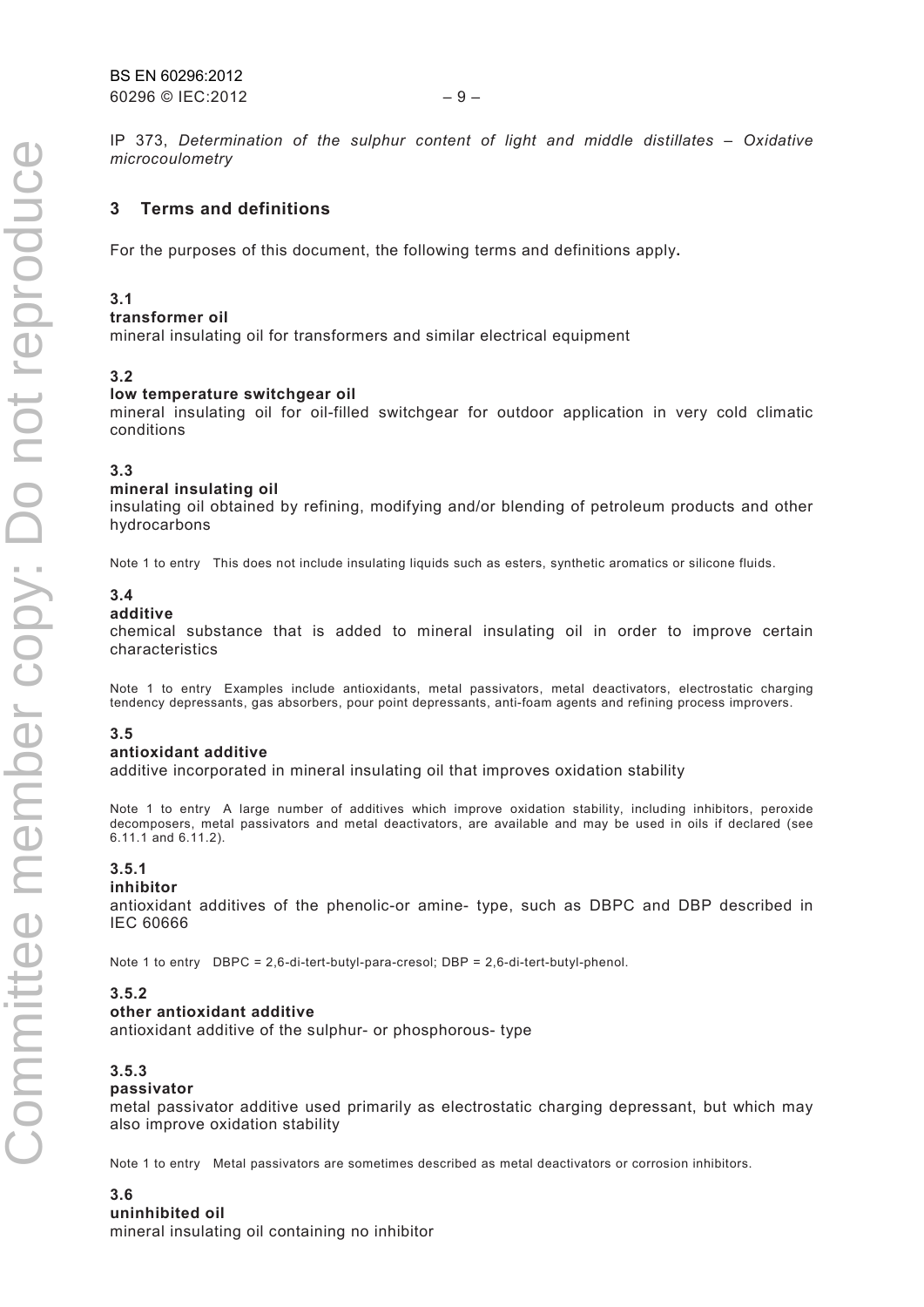$60296$  © IEC:2012 – 9 – BS EN 60296:2012

IP 373, *Determination of the sulphur content of light and middle distillates – Oxidative microcoulometry*

#### **3 Terms and definitions**

For the purposes of this document, the following terms and definitions apply**.** 

#### **3.1**

#### **transformer oil**

mineral insulating oil for transformers and similar electrical equipment

#### **3.2**

#### **low temperature switchgear oil**

mineral insulating oil for oil-filled switchgear for outdoor application in very cold climatic conditions

#### **3.3**

#### **mineral insulating oil**

insulating oil obtained by refining, modifying and/or blending of petroleum products and other hydrocarbons

Note 1 to entry This does not include insulating liquids such as esters, synthetic aromatics or silicone fluids.

#### **3.4**

#### **additive**

chemical substance that is added to mineral insulating oil in order to improve certain characteristics

Note 1 to entry Examples include antioxidants, metal passivators, metal deactivators, electrostatic charging tendency depressants, gas absorbers, pour point depressants, anti-foam agents and refining process improvers.

#### **3.5**

#### **antioxidant additive**

additive incorporated in mineral insulating oil that improves oxidation stability

Note 1 to entry A large number of additives which improve oxidation stability, including inhibitors, peroxide decomposers, metal passivators and metal deactivators, are available and may be used in oils if declared (see 6.11.1 and 6.11.2).

#### **3.5.1**

#### **inhibitor**

antioxidant additives of the phenolic-or amine- type, such as DBPC and DBP described in IEC 60666

Note 1 to entry DBPC = 2,6-di-tert-butyl-para-cresol; DBP = 2,6-di-tert-butyl-phenol.

#### **3.5.2**

#### **other antioxidant additive**

antioxidant additive of the sulphur- or phosphorous- type

#### **3.5.3**

#### **passivator**

metal passivator additive used primarily as electrostatic charging depressant, but which may also improve oxidation stability

Note 1 to entry Metal passivators are sometimes described as metal deactivators or corrosion inhibitors.

#### **3.6**

#### **uninhibited oil**

mineral insulating oil containing no inhibitor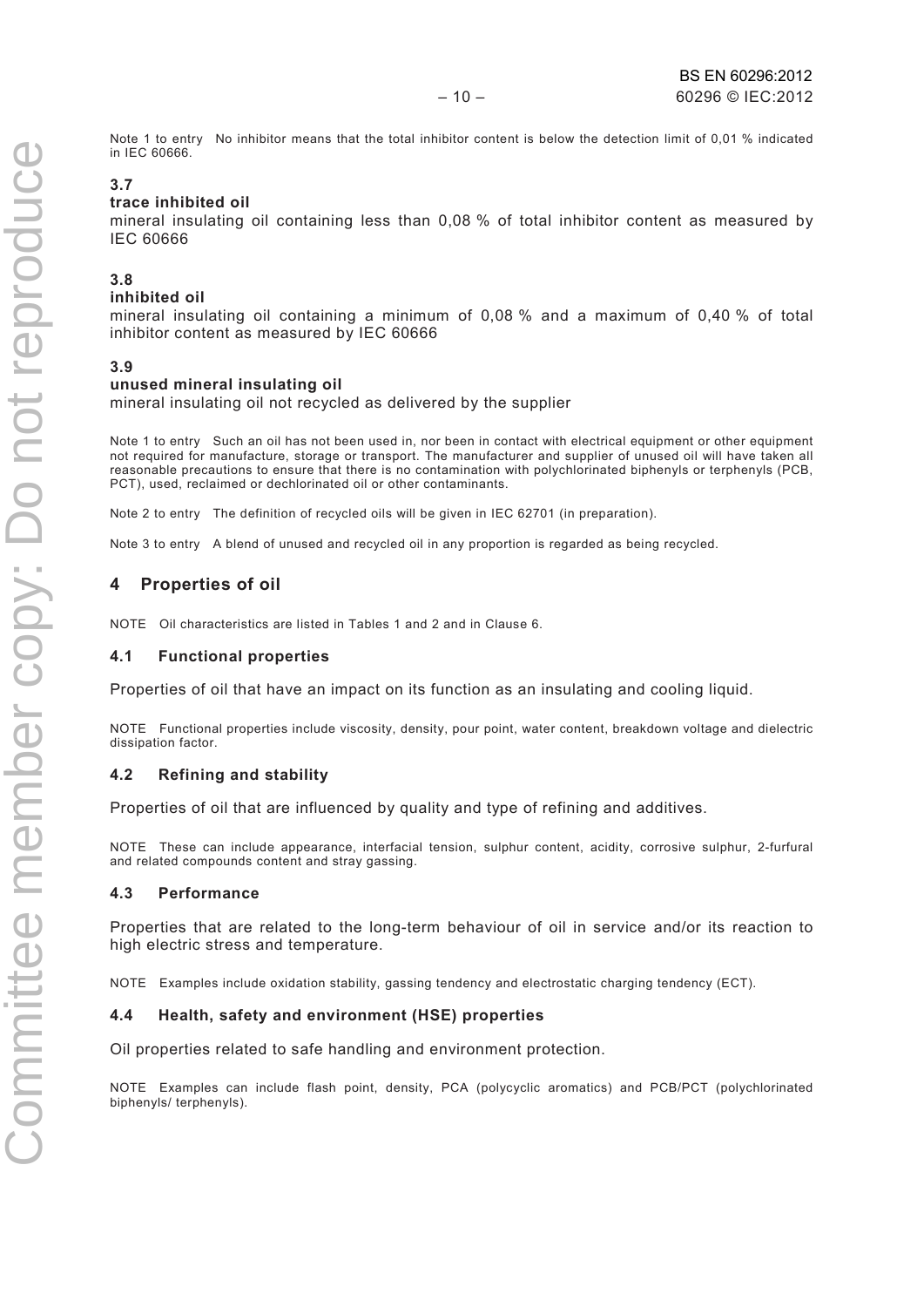Note 1 to entry No inhibitor means that the total inhibitor content is below the detection limit of 0,01 % indicated in IEC 60666.

#### **3.7**

#### **trace inhibited oil**

mineral insulating oil containing less than 0,08 % of total inhibitor content as measured by IEC 60666

#### **3.8**

#### **inhibited oil**

mineral insulating oil containing a minimum of 0,08 % and a maximum of 0,40 % of total inhibitor content as measured by IEC 60666

#### **3.9**

#### **unused mineral insulating oil**

mineral insulating oil not recycled as delivered by the supplier

Note 1 to entry Such an oil has not been used in, nor been in contact with electrical equipment or other equipment not required for manufacture, storage or transport. The manufacturer and supplier of unused oil will have taken all reasonable precautions to ensure that there is no contamination with polychlorinated biphenyls or terphenyls (PCB, PCT), used, reclaimed or dechlorinated oil or other contaminants.

Note 2 to entry The definition of recycled oils will be given in IEC 62701 (in preparation).

Note 3 to entry A blend of unused and recycled oil in any proportion is regarded as being recycled.

#### **4 Properties of oil**

NOTE Oil characteristics are listed in Tables 1 and 2 and in Clause 6.

#### **4.1 Functional properties**

Properties of oil that have an impact on its function as an insulating and cooling liquid.

NOTE Functional properties include viscosity, density, pour point, water content, breakdown voltage and dielectric dissipation factor.

#### **4.2 Refining and stability**

Properties of oil that are influenced by quality and type of refining and additives.

NOTE These can include appearance, interfacial tension, sulphur content, acidity, corrosive sulphur, 2-furfural and related compounds content and stray gassing.

#### **4.3 Performance**

Properties that are related to the long-term behaviour of oil in service and/or its reaction to high electric stress and temperature.

NOTE Examples include oxidation stability, gassing tendency and electrostatic charging tendency (ECT).

#### **4.4 Health, safety and environment (HSE) properties**

Oil properties related to safe handling and environment protection.

NOTE Examples can include flash point, density, PCA (polycyclic aromatics) and PCB/PCT (polychlorinated biphenyls/ terphenyls).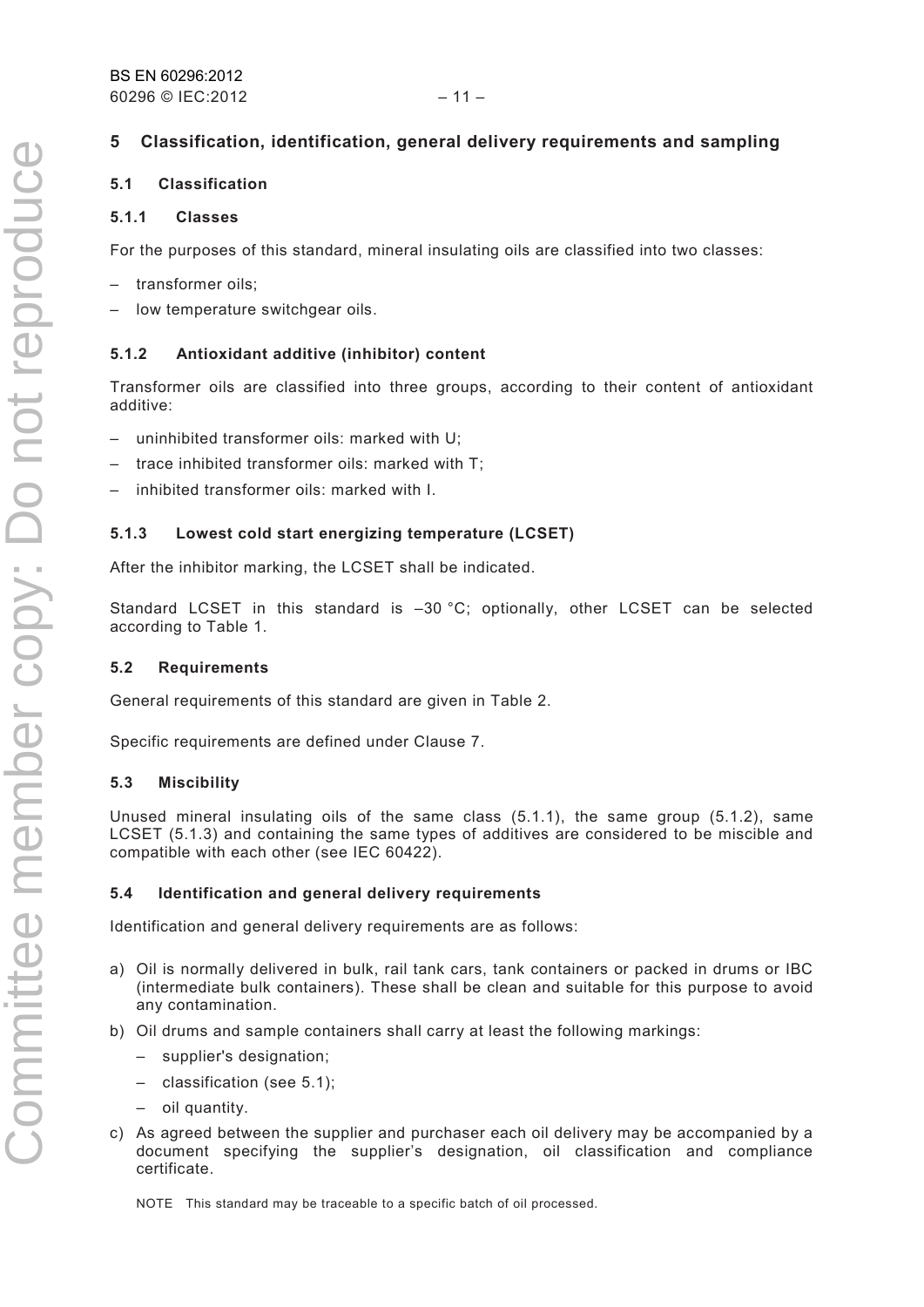#### **5 Classification, identification, general delivery requirements and sampling**

#### **5.1 Classification**

#### **5.1.1 Classes**

For the purposes of this standard, mineral insulating oils are classified into two classes:

- transformer oils;
- low temperature switchgear oils.

#### **5.1.2 Antioxidant additive (inhibitor) content**

Transformer oils are classified into three groups, according to their content of antioxidant additive:

- uninhibited transformer oils: marked with U;
- trace inhibited transformer oils: marked with T;
- inhibited transformer oils: marked with I.

#### **5.1.3 Lowest cold start energizing temperature (LCSET)**

After the inhibitor marking, the LCSET shall be indicated.

Standard LCSET in this standard is –30 °C; optionally, other LCSET can be selected according to Table 1.

#### **5.2 Requirements**

General requirements of this standard are given in Table 2.

Specific requirements are defined under Clause 7.

#### **5.3 Miscibility**

Unused mineral insulating oils of the same class (5.1.1), the same group (5.1.2), same LCSET (5.1.3) and containing the same types of additives are considered to be miscible and compatible with each other (see IEC 60422).

#### **5.4 Identification and general delivery requirements**

Identification and general delivery requirements are as follows:

- a) Oil is normally delivered in bulk, rail tank cars, tank containers or packed in drums or IBC (intermediate bulk containers). These shall be clean and suitable for this purpose to avoid any contamination.
- b) Oil drums and sample containers shall carry at least the following markings:
	- supplier's designation;
	- classification (see 5.1);
	- oil quantity.
- c) As agreed between the supplier and purchaser each oil delivery may be accompanied by a document specifying the supplier's designation, oil classification and compliance certificate.

NOTE This standard may be traceable to a specific batch of oil processed.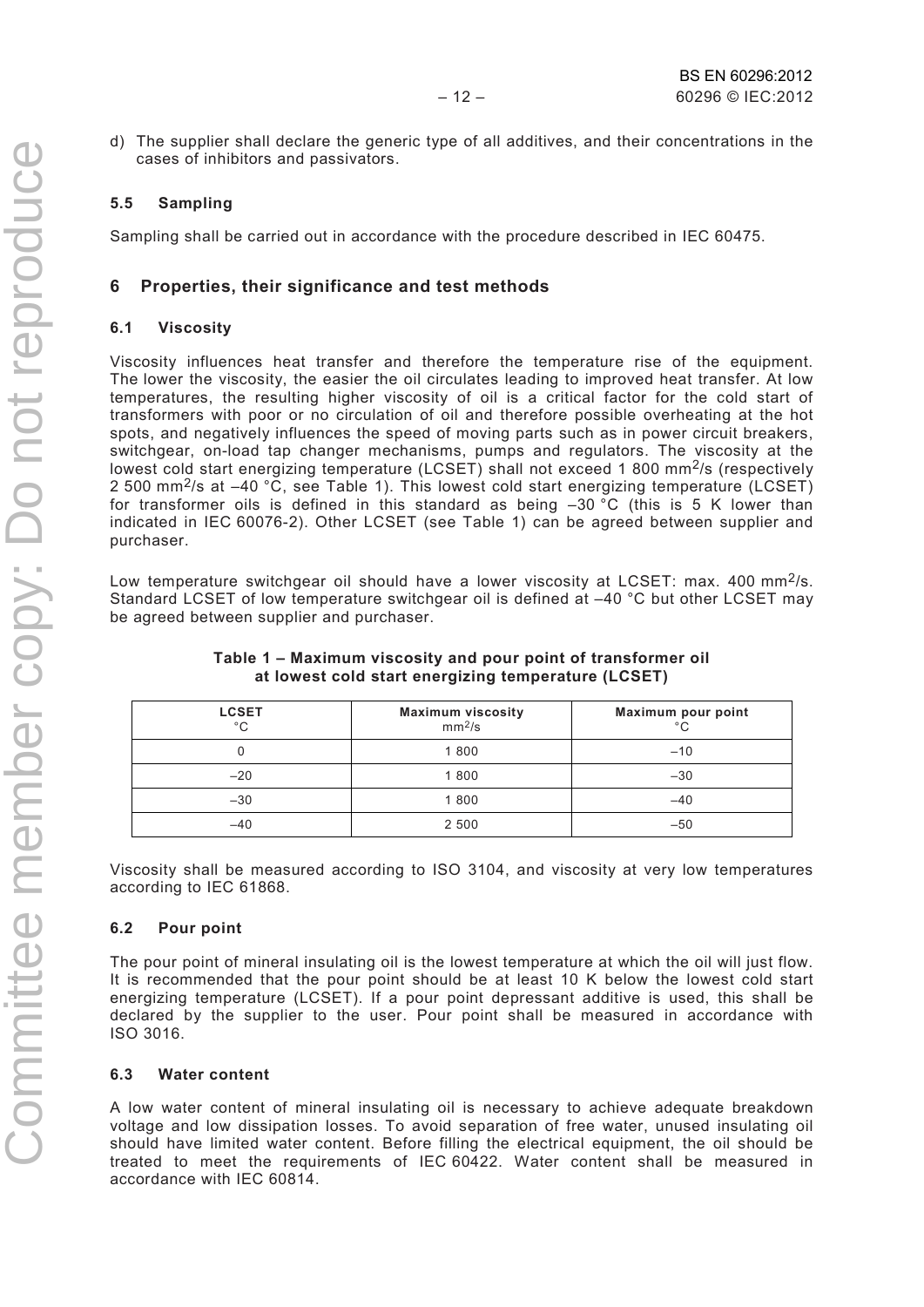d) The supplier shall declare the generic type of all additives, and their concentrations in the cases of inhibitors and passivators.

#### **5.5 Sampling**

Sampling shall be carried out in accordance with the procedure described in IEC 60475.

#### **6 Properties, their significance and test methods**

#### **6.1 Viscosity**

Viscosity influences heat transfer and therefore the temperature rise of the equipment. The lower the viscosity, the easier the oil circulates leading to improved heat transfer. At low temperatures, the resulting higher viscosity of oil is a critical factor for the cold start of transformers with poor or no circulation of oil and therefore possible overheating at the hot spots, and negatively influences the speed of moving parts such as in power circuit breakers, switchgear, on-load tap changer mechanisms, pumps and regulators. The viscosity at the lowest cold start energizing temperature (LCSET) shall not exceed 1 800 mm<sup>2</sup>/s (respectively 2 500 mm2/s at –40 °C, see Table 1). This lowest cold start energizing temperature (LCSET) for transformer oils is defined in this standard as being –30 °C (this is 5 K lower than indicated in IEC 60076-2). Other LCSET (see Table 1) can be agreed between supplier and purchaser.

Low temperature switchgear oil should have a lower viscosity at LCSET: max. 400 mm<sup>2</sup>/s. Standard LCSET of low temperature switchgear oil is defined at –40 °C but other LCSET may be agreed between supplier and purchaser.

| <b>LCSET</b><br>$^{\circ}$ C | <b>Maximum viscosity</b><br>mm <sup>2</sup> /s | Maximum pour point<br>°С |
|------------------------------|------------------------------------------------|--------------------------|
|                              | 1800                                           | $-10$                    |
| $-20$                        | 1800                                           | $-30$                    |
| $-30$                        | 1800                                           | $-40$                    |
| $-40$                        | 2 500                                          | $-50$                    |

#### **Table 1 – Maximum viscosity and pour point of transformer oil at lowest cold start energizing temperature (LCSET)**

Viscosity shall be measured according to ISO 3104, and viscosity at very low temperatures according to IEC 61868.

#### **6.2 Pour point**

The pour point of mineral insulating oil is the lowest temperature at which the oil will just flow. It is recommended that the pour point should be at least 10 K below the lowest cold start energizing temperature (LCSET). If a pour point depressant additive is used, this shall be declared by the supplier to the user. Pour point shall be measured in accordance with ISO 3016.

#### **6.3 Water content**

A low water content of mineral insulating oil is necessary to achieve adequate breakdown voltage and low dissipation losses. To avoid separation of free water, unused insulating oil should have limited water content. Before filling the electrical equipment, the oil should be treated to meet the requirements of IEC 60422. Water content shall be measured in accordance with IEC 60814.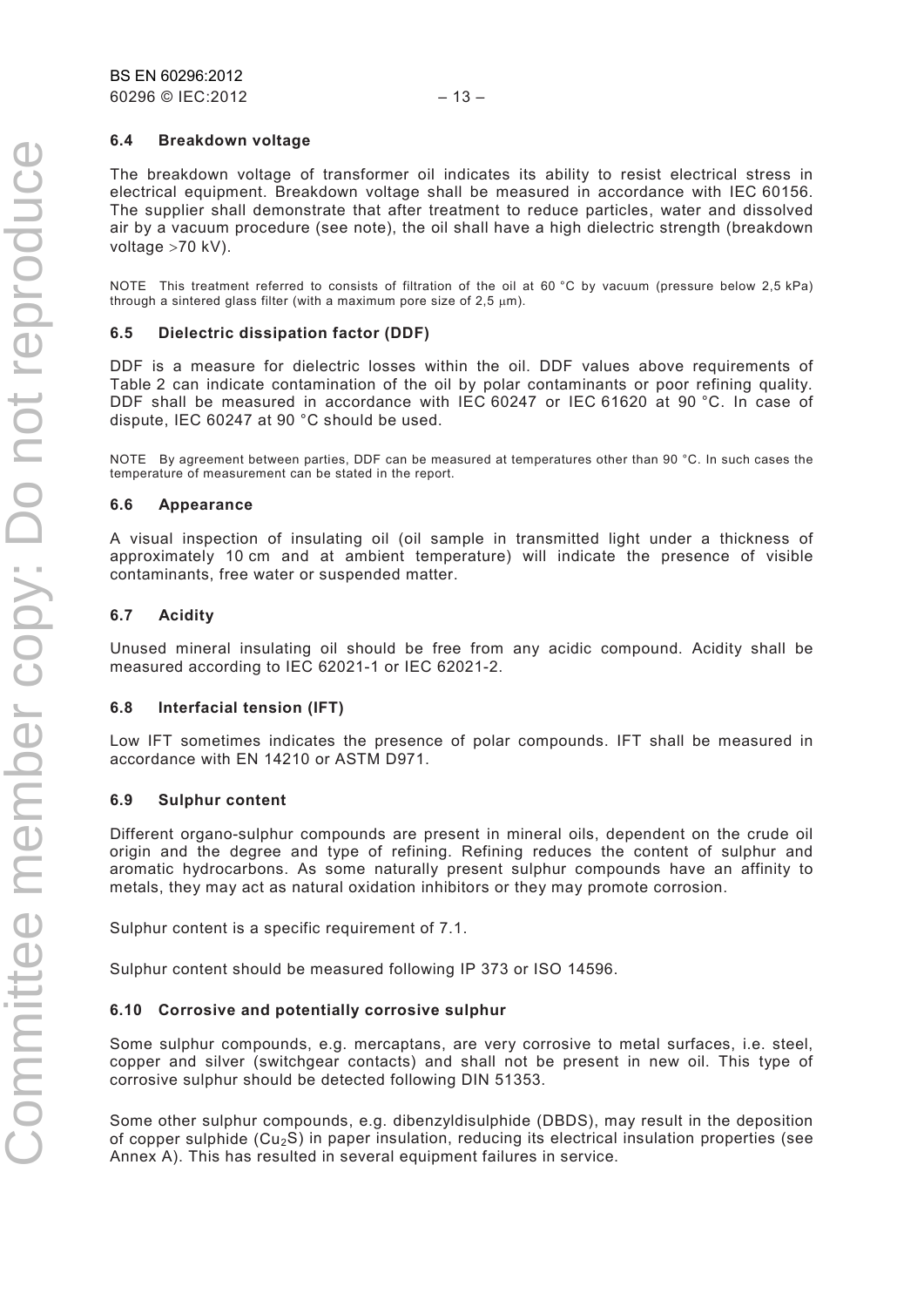#### **6.4 Breakdown voltage**

The breakdown voltage of transformer oil indicates its ability to resist electrical stress in electrical equipment. Breakdown voltage shall be measured in accordance with IEC 60156. The supplier shall demonstrate that after treatment to reduce particles, water and dissolved air by a vacuum procedure (see note), the oil shall have a high dielectric strength (breakdown voltage >70 kV).

NOTE This treatment referred to consists of filtration of the oil at 60 °C by vacuum (pressure below 2,5 kPa) through a sintered glass filter (with a maximum pore size of  $2.5 \mu m$ ).

#### **6.5 Dielectric dissipation factor (DDF)**

DDF is a measure for dielectric losses within the oil. DDF values above requirements of Table 2 can indicate contamination of the oil by polar contaminants or poor refining quality. DDF shall be measured in accordance with IEC 60247 or IEC 61620 at 90 °C. In case of dispute, IEC 60247 at 90 °C should be used.

NOTE By agreement between parties, DDF can be measured at temperatures other than 90 °C. In such cases the temperature of measurement can be stated in the report.

#### **6.6 Appearance**

A visual inspection of insulating oil (oil sample in transmitted light under a thickness of approximately 10 cm and at ambient temperature) will indicate the presence of visible contaminants, free water or suspended matter.

#### **6.7 Acidity**

Unused mineral insulating oil should be free from any acidic compound. Acidity shall be measured according to IEC 62021-1 or IEC 62021-2.

#### **6.8 Interfacial tension (IFT)**

Low IFT sometimes indicates the presence of polar compounds. IFT shall be measured in accordance with EN 14210 or ASTM D971.

#### **6.9 Sulphur content**

Different organo-sulphur compounds are present in mineral oils, dependent on the crude oil origin and the degree and type of refining. Refining reduces the content of sulphur and aromatic hydrocarbons. As some naturally present sulphur compounds have an affinity to metals, they may act as natural oxidation inhibitors or they may promote corrosion.

Sulphur content is a specific requirement of 7.1.

Sulphur content should be measured following IP 373 or ISO 14596.

#### **6.10 Corrosive and potentially corrosive sulphur**

Some sulphur compounds, e.g. mercaptans, are very corrosive to metal surfaces, i.e. steel, copper and silver (switchgear contacts) and shall not be present in new oil. This type of corrosive sulphur should be detected following DIN 51353.

Some other sulphur compounds, e.g. dibenzyldisulphide (DBDS), may result in the deposition of copper sulphide  $(Cu<sub>2</sub>S)$  in paper insulation, reducing its electrical insulation properties (see Annex A). This has resulted in several equipment failures in service.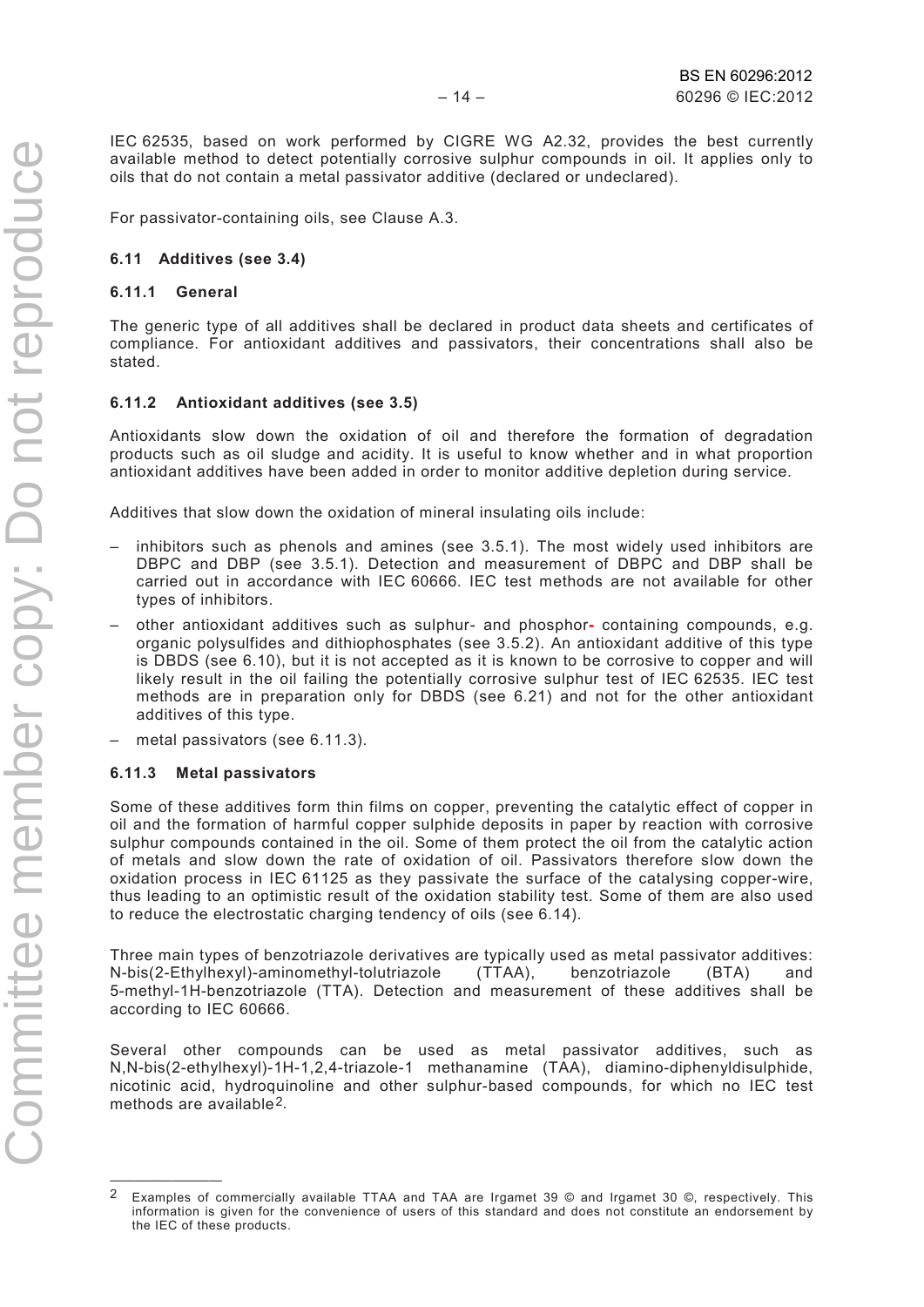IEC 62535, based on work performed by CIGRE WG A2.32, provides the best currently available method to detect potentially corrosive sulphur compounds in oil. It applies only to oils that do not contain a metal passivator additive (declared or undeclared).

For passivator-containing oils, see Clause A.3.

#### **6.11 Additives (see 3.4)**

#### **6.11.1 General**

The generic type of all additives shall be declared in product data sheets and certificates of compliance. For antioxidant additives and passivators, their concentrations shall also be stated.

#### **6.11.2 Antioxidant additives (see 3.5)**

Antioxidants slow down the oxidation of oil and therefore the formation of degradation products such as oil sludge and acidity. It is useful to know whether and in what proportion antioxidant additives have been added in order to monitor additive depletion during service.

Additives that slow down the oxidation of mineral insulating oils include:

- inhibitors such as phenols and amines (see 3.5.1). The most widely used inhibitors are DBPC and DBP (see 3.5.1). Detection and measurement of DBPC and DBP shall be carried out in accordance with IEC 60666. IEC test methods are not available for other types of inhibitors.
- other antioxidant additives such as sulphur- and phosphor**-** containing compounds, e.g. organic polysulfides and dithiophosphates (see 3.5.2). An antioxidant additive of this type is DBDS (see 6.10), but it is not accepted as it is known to be corrosive to copper and will likely result in the oil failing the potentially corrosive sulphur test of IEC 62535. IEC test methods are in preparation only for DBDS (see 6.21) and not for the other antioxidant additives of this type.
- metal passivators (see 6.11.3).

#### **6.11.3 Metal passivators**

—————————

Some of these additives form thin films on copper, preventing the catalytic effect of copper in oil and the formation of harmful copper sulphide deposits in paper by reaction with corrosive sulphur compounds contained in the oil. Some of them protect the oil from the catalytic action of metals and slow down the rate of oxidation of oil. Passivators therefore slow down the oxidation process in IEC 61125 as they passivate the surface of the catalysing copper-wire, thus leading to an optimistic result of the oxidation stability test. Some of them are also used to reduce the electrostatic charging tendency of oils (see 6.14).

Three main types of benzotriazole derivatives are typically used as metal passivator additives: N-bis(2-Ethylhexyl)-aminomethyl-tolutriazole (TTAA), benzotriazole (BTA) and 5-methyl-1H-benzotriazole (TTA). Detection and measurement of these additives shall be according to IEC 60666.

Several other compounds can be used as metal passivator additives, such as N,N-bis(2-ethylhexyl)-1H-1,2,4-triazole-1 methanamine (TAA), diamino-diphenyldisulphide, nicotinic acid, hydroquinoline and other sulphur-based compounds, for which no IEC test methods are available[2](#page-11-0).

<span id="page-11-0"></span><sup>2</sup> Examples of commercially available TTAA and TAA are Irgamet 39 © and Irgamet 30 ©, respectively. This information is given for the convenience of users of this standard and does not constitute an endorsement by the IEC of these products.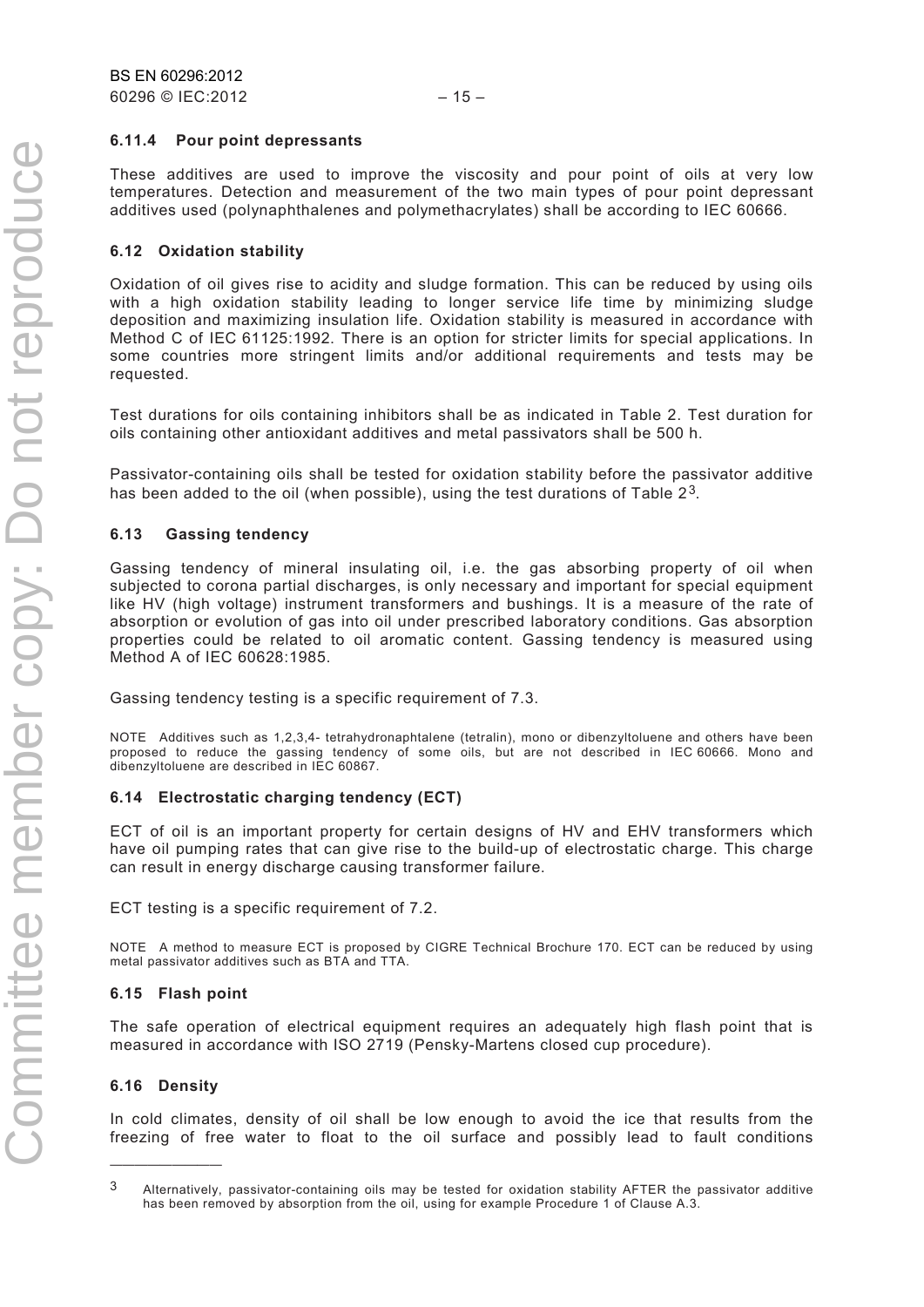#### **6.11.4 Pour point depressants**

These additives are used to improve the viscosity and pour point of oils at very low temperatures. Detection and measurement of the two main types of pour point depressant additives used (polynaphthalenes and polymethacrylates) shall be according to IEC 60666.

#### **6.12 Oxidation stability**

Oxidation of oil gives rise to acidity and sludge formation. This can be reduced by using oils with a high oxidation stability leading to longer service life time by minimizing sludge deposition and maximizing insulation life. Oxidation stability is measured in accordance with Method C of IEC 61125:1992. There is an option for stricter limits for special applications. In some countries more stringent limits and/or additional requirements and tests may be requested.

Test durations for oils containing inhibitors shall be as indicated in Table 2. Test duration for oils containing other antioxidant additives and metal passivators shall be 500 h.

Passivator-containing oils shall be tested for oxidation stability before the passivator additive has been added to the oil (when possible), using the test durations of Table  $2<sup>3</sup>$  $2<sup>3</sup>$  $2<sup>3</sup>$ .

#### **6.13 Gassing tendency**

Gassing tendency of mineral insulating oil, i.e. the gas absorbing property of oil when subjected to corona partial discharges, is only necessary and important for special equipment like HV (high voltage) instrument transformers and bushings. It is a measure of the rate of absorption or evolution of gas into oil under prescribed laboratory conditions. Gas absorption properties could be related to oil aromatic content. Gassing tendency is measured using Method A of IEC 60628:1985.

Gassing tendency testing is a specific requirement of 7.3.

NOTE Additives such as 1,2,3,4- tetrahydronaphtalene (tetralin), mono or dibenzyltoluene and others have been proposed to reduce the gassing tendency of some oils, but are not described in IEC 60666. Mono and dibenzyltoluene are described in IEC 60867.

#### **6.14 Electrostatic charging tendency (ECT)**

ECT of oil is an important property for certain designs of HV and EHV transformers which have oil pumping rates that can give rise to the build-up of electrostatic charge. This charge can result in energy discharge causing transformer failure.

ECT testing is a specific requirement of 7.2.

NOTE A method to measure ECT is proposed by CIGRE Technical Brochure 170. ECT can be reduced by using metal passivator additives such as BTA and TTA.

#### **6.15 Flash point**

The safe operation of electrical equipment requires an adequately high flash point that is measured in accordance with ISO 2719 (Pensky-Martens closed cup procedure).

#### **6.16 Density**

—————————

In cold climates, density of oil shall be low enough to avoid the ice that results from the freezing of free water to float to the oil surface and possibly lead to fault conditions

<span id="page-12-0"></span><sup>3</sup> Alternatively, passivator-containing oils may be tested for oxidation stability AFTER the passivator additive has been removed by absorption from the oil, using for example Procedure 1 of Clause A.3.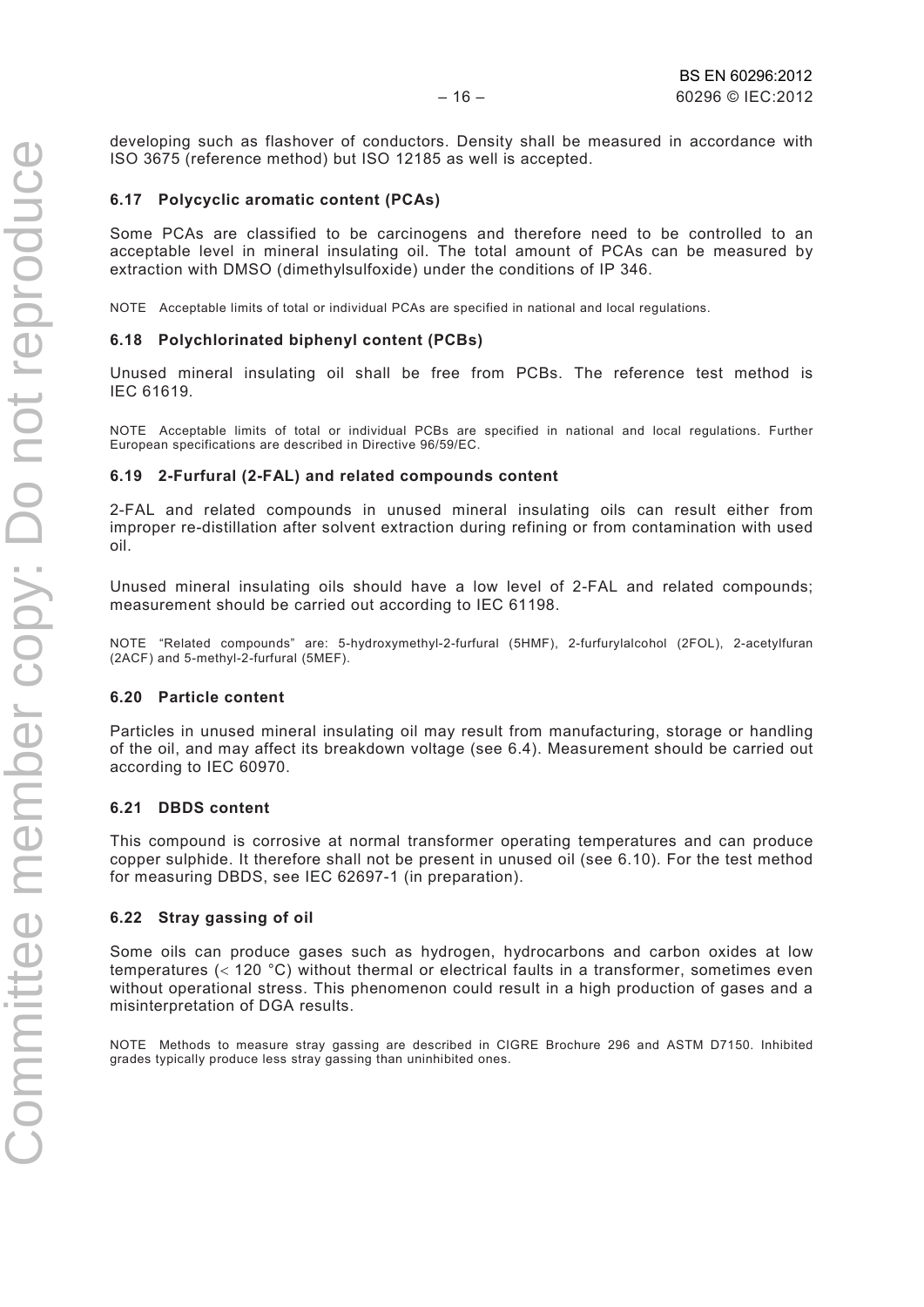developing such as flashover of conductors. Density shall be measured in accordance with ISO 3675 (reference method) but ISO 12185 as well is accepted.

#### **6.17 Polycyclic aromatic content (PCAs)**

Some PCAs are classified to be carcinogens and therefore need to be controlled to an acceptable level in mineral insulating oil. The total amount of PCAs can be measured by extraction with DMSO (dimethylsulfoxide) under the conditions of IP 346.

NOTE Acceptable limits of total or individual PCAs are specified in national and local regulations.

#### **6.18 Polychlorinated biphenyl content (PCBs)**

Unused mineral insulating oil shall be free from PCBs. The reference test method is IEC 61619.

NOTE Acceptable limits of total or individual PCBs are specified in national and local regulations. Further European specifications are described in Directive 96/59/EC.

#### **6.19 2-Furfural (2-FAL) and related compounds content**

2-FAL and related compounds in unused mineral insulating oils can result either from improper re-distillation after solvent extraction during refining or from contamination with used oil.

Unused mineral insulating oils should have a low level of 2-FAL and related compounds; measurement should be carried out according to IEC 61198.

NOTE "Related compounds" are: 5-hydroxymethyl-2-furfural (5HMF), 2-furfurylalcohol (2FOL), 2-acetylfuran (2ACF) and 5-methyl-2-furfural (5MEF).

#### **6.20 Particle content**

Particles in unused mineral insulating oil may result from manufacturing, storage or handling of the oil, and may affect its breakdown voltage (see 6.4). Measurement should be carried out according to IEC 60970.

#### **6.21 DBDS content**

This compound is corrosive at normal transformer operating temperatures and can produce copper sulphide. It therefore shall not be present in unused oil (see 6.10). For the test method for measuring DBDS, see IEC 62697-1 (in preparation).

#### **6.22 Stray gassing of oil**

Some oils can produce gases such as hydrogen, hydrocarbons and carbon oxides at low temperatures (< 120 °C) without thermal or electrical faults in a transformer, sometimes even without operational stress. This phenomenon could result in a high production of gases and a misinterpretation of DGA results.

NOTE Methods to measure stray gassing are described in CIGRE Brochure 296 and ASTM D7150. Inhibited grades typically produce less stray gassing than uninhibited ones.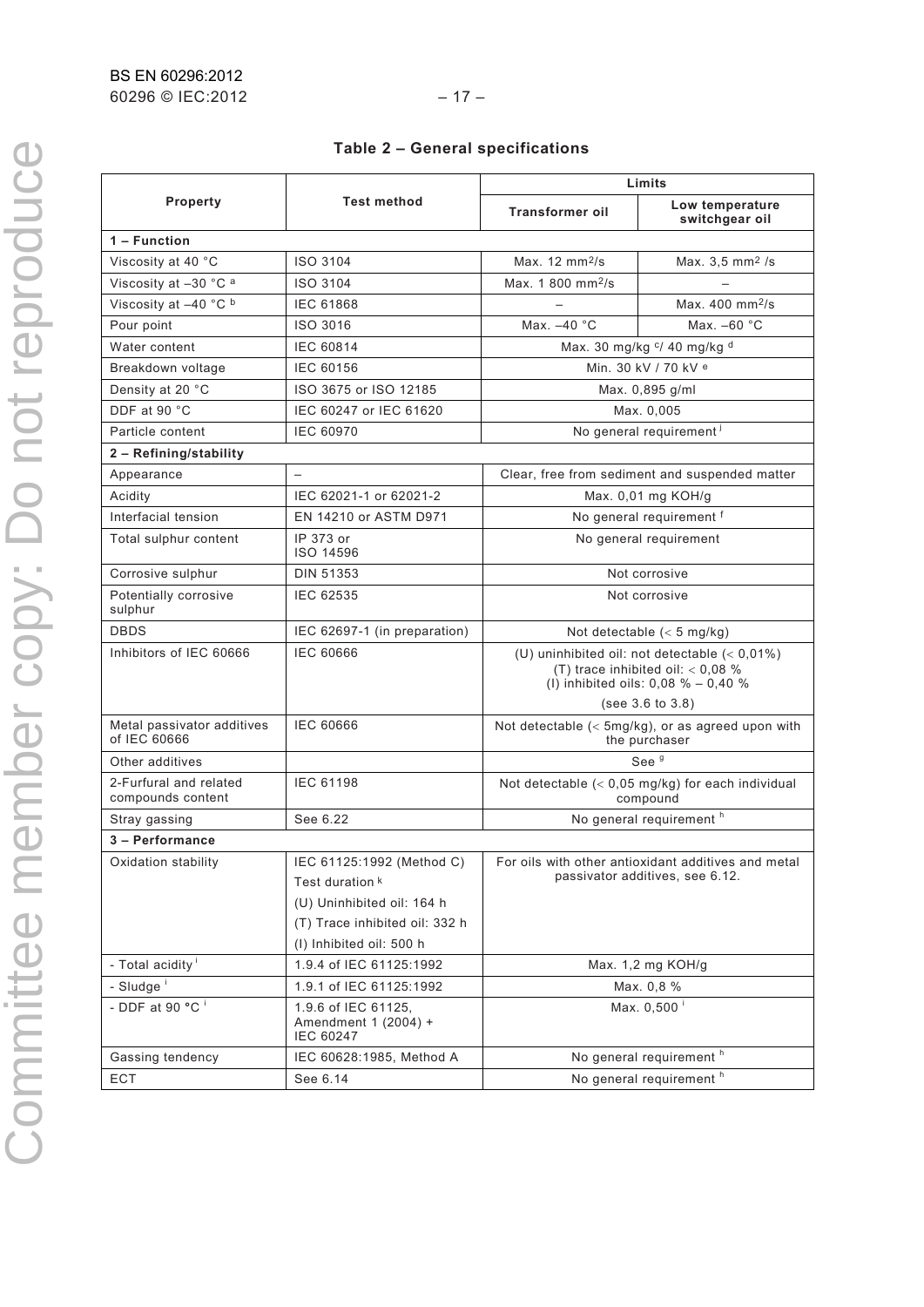|  |  |  | Table 2 - General specifications |
|--|--|--|----------------------------------|
|--|--|--|----------------------------------|

|                                             |                                                                                                                                          | Limits                                                                                                                             |                                                                                        |  |
|---------------------------------------------|------------------------------------------------------------------------------------------------------------------------------------------|------------------------------------------------------------------------------------------------------------------------------------|----------------------------------------------------------------------------------------|--|
| Property                                    | <b>Test method</b>                                                                                                                       | <b>Transformer oil</b>                                                                                                             | Low temperature<br>switchgear oil                                                      |  |
| 1 – Function                                |                                                                                                                                          |                                                                                                                                    |                                                                                        |  |
| Viscosity at 40 °C                          | ISO 3104                                                                                                                                 | Max. $12 \text{ mm}^2$ /s                                                                                                          | Max. $3,5 \, \text{mm}^2$ /s                                                           |  |
| Viscosity at -30 °C a                       | ISO 3104                                                                                                                                 | Max. 1 800 mm <sup>2</sup> /s                                                                                                      |                                                                                        |  |
| Viscosity at -40 °C b                       | <b>IEC 61868</b>                                                                                                                         |                                                                                                                                    | Max. 400 mm <sup>2</sup> /s                                                            |  |
| Pour point                                  | ISO 3016                                                                                                                                 | Max. -40 °C                                                                                                                        | Max. $-60$ $^{\circ}$ C                                                                |  |
| Water content                               | IEC 60814                                                                                                                                | Max. 30 mg/kg c/ 40 mg/kg d                                                                                                        |                                                                                        |  |
| Breakdown voltage                           | IEC 60156                                                                                                                                | Min. 30 kV / 70 kV <sup>e</sup>                                                                                                    |                                                                                        |  |
| Density at 20 °C                            | ISO 3675 or ISO 12185                                                                                                                    | Max. 0,895 g/ml                                                                                                                    |                                                                                        |  |
| DDF at 90 °C                                | IEC 60247 or IEC 61620                                                                                                                   | Max. 0,005                                                                                                                         |                                                                                        |  |
| Particle content                            | <b>IEC 60970</b>                                                                                                                         |                                                                                                                                    | No general requirement <sup>1</sup>                                                    |  |
| 2 - Refining/stability                      |                                                                                                                                          |                                                                                                                                    |                                                                                        |  |
| Appearance                                  |                                                                                                                                          |                                                                                                                                    | Clear, free from sediment and suspended matter                                         |  |
| Acidity                                     | IEC 62021-1 or 62021-2                                                                                                                   |                                                                                                                                    | Max. 0,01 mg KOH/g                                                                     |  |
| Interfacial tension                         | EN 14210 or ASTM D971                                                                                                                    | No general requirement f                                                                                                           |                                                                                        |  |
| Total sulphur content                       | IP 373 or<br>ISO 14596                                                                                                                   | No general requirement                                                                                                             |                                                                                        |  |
| Corrosive sulphur                           | DIN 51353                                                                                                                                | Not corrosive                                                                                                                      |                                                                                        |  |
| Potentially corrosive<br>sulphur            | IEC 62535                                                                                                                                | Not corrosive                                                                                                                      |                                                                                        |  |
| <b>DBDS</b>                                 | IEC 62697-1 (in preparation)                                                                                                             | Not detectable $(< 5 \text{ mg/kg})$                                                                                               |                                                                                        |  |
| Inhibitors of IEC 60666                     | <b>IEC 60666</b>                                                                                                                         | (U) uninhibited oil: not detectable $(< 0.01\%)$<br>(T) trace inhibited oil: $< 0.08$ %<br>(I) inhibited oils: $0.08 \% - 0.40 \%$ |                                                                                        |  |
|                                             |                                                                                                                                          | (see 3.6 to 3.8)                                                                                                                   |                                                                                        |  |
| Metal passivator additives<br>of IEC 60666  | <b>IEC 60666</b>                                                                                                                         | Not detectable $(<$ 5mg/kg), or as agreed upon with<br>the purchaser                                                               |                                                                                        |  |
| Other additives                             |                                                                                                                                          | See <sup>9</sup>                                                                                                                   |                                                                                        |  |
| 2-Furfural and related<br>compounds content | <b>IEC 61198</b>                                                                                                                         |                                                                                                                                    | Not detectable $(< 0.05$ mg/kg) for each individual<br>compound                        |  |
| Stray gassing                               | See 6.22                                                                                                                                 |                                                                                                                                    | No general requirement <sup>h</sup>                                                    |  |
| 3 - Performance                             |                                                                                                                                          |                                                                                                                                    |                                                                                        |  |
| Oxidation stability                         | IEC 61125:1992 (Method C)<br>Test duration k<br>(U) Uninhibited oil: 164 h<br>(T) Trace inhibited oil: 332 h<br>(I) Inhibited oil: 500 h |                                                                                                                                    | For oils with other antioxidant additives and metal<br>passivator additives, see 6.12. |  |
| - Total acidity <sup>i</sup>                | 1.9.4 of IEC 61125:1992                                                                                                                  |                                                                                                                                    | Max. 1,2 mg KOH/g                                                                      |  |
| - Sludge <sup>i</sup>                       | 1.9.1 of IEC 61125:1992                                                                                                                  |                                                                                                                                    | Max. 0,8 %                                                                             |  |
| - DDF at 90 $\overline{°C}$ <sup>i</sup>    | 1.9.6 of IEC 61125,<br>Amendment 1 (2004) +<br><b>IEC 60247</b>                                                                          |                                                                                                                                    | Max. 0,500 <sup>i</sup>                                                                |  |
| Gassing tendency                            | IEC 60628:1985, Method A                                                                                                                 |                                                                                                                                    | No general requirement <sup>h</sup>                                                    |  |
| ECT                                         | See 6.14                                                                                                                                 |                                                                                                                                    | No general requirement <sup>h</sup>                                                    |  |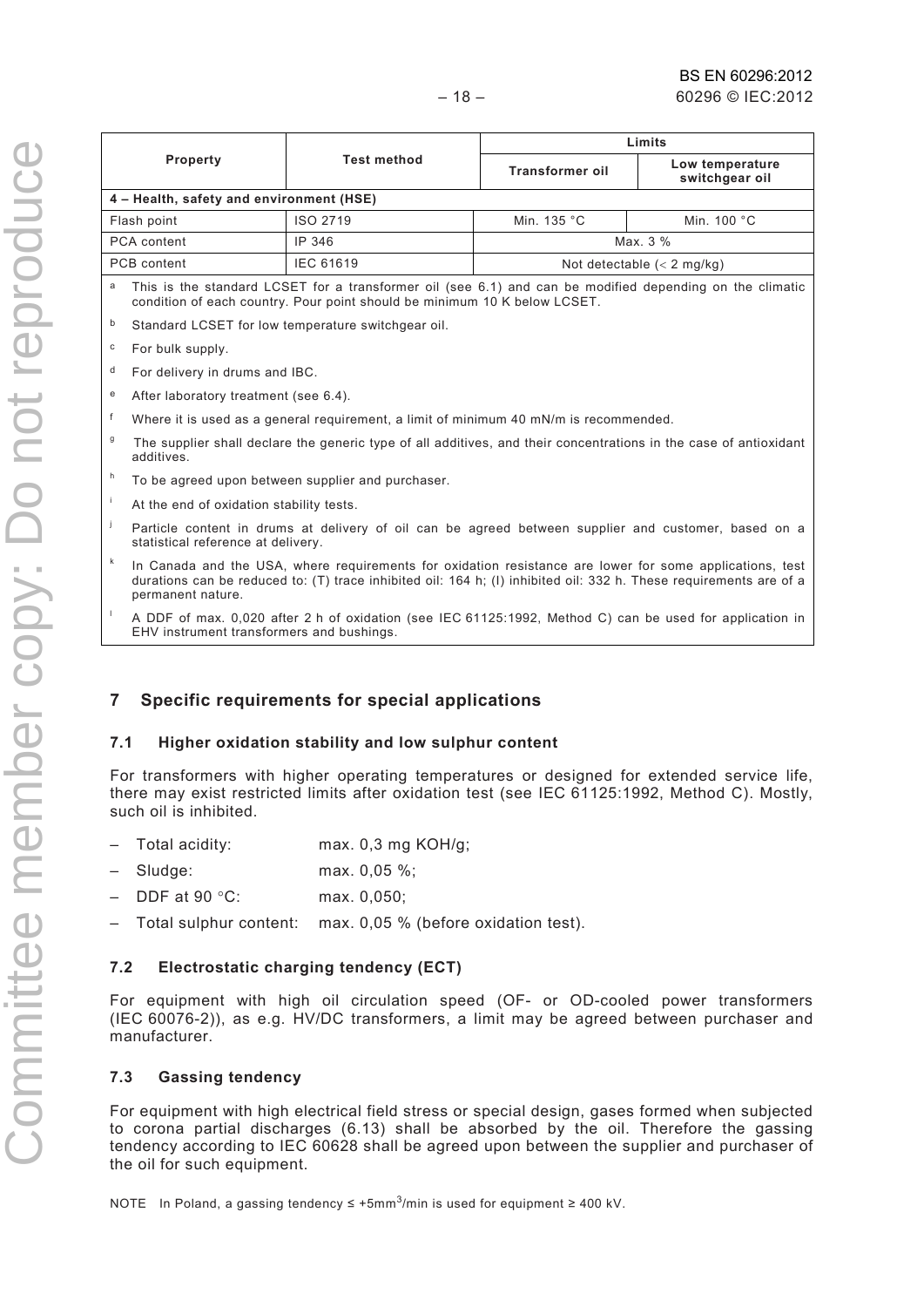| <b>TANA SE SE SE</b>    |
|-------------------------|
|                         |
| ò                       |
|                         |
|                         |
|                         |
|                         |
|                         |
|                         |
|                         |
| $\overline{\mathbf{C}}$ |
|                         |
|                         |
|                         |
|                         |
|                         |
|                         |
|                         |
| Ш                       |
| ĭ                       |
| $\frac{1}{2}$           |
|                         |
|                         |
|                         |
|                         |
|                         |
|                         |
|                         |
|                         |
|                         |
|                         |
|                         |
|                         |
|                         |
|                         |
|                         |
|                         |
| ì                       |
|                         |
|                         |
|                         |
|                         |
|                         |
|                         |
|                         |
|                         |
|                         |
|                         |
|                         |
| Ì                       |
|                         |
|                         |
|                         |
|                         |
|                         |
|                         |

|              |                                                                                                                                                                                                                                                     |                                                                                                         | Limits                 |                                   |  |  |
|--------------|-----------------------------------------------------------------------------------------------------------------------------------------------------------------------------------------------------------------------------------------------------|---------------------------------------------------------------------------------------------------------|------------------------|-----------------------------------|--|--|
|              | Property                                                                                                                                                                                                                                            | <b>Test method</b>                                                                                      | <b>Transformer oil</b> | Low temperature<br>switchgear oil |  |  |
|              | 4 – Health, safety and environment (HSE)                                                                                                                                                                                                            |                                                                                                         |                        |                                   |  |  |
| Flash point  |                                                                                                                                                                                                                                                     | ISO 2719                                                                                                | Min. 135 °C            | Min. 100 °C                       |  |  |
|              | PCA content                                                                                                                                                                                                                                         | IP 346                                                                                                  |                        | Max. 3 %                          |  |  |
|              | PCB content                                                                                                                                                                                                                                         | IEC 61619                                                                                               |                        | Not detectable $(< 2$ mg/kg)      |  |  |
| a            | This is the standard LCSET for a transformer oil (see 6.1) and can be modified depending on the climatic<br>condition of each country. Pour point should be minimum 10 K below LCSET.                                                               |                                                                                                         |                        |                                   |  |  |
| b            |                                                                                                                                                                                                                                                     | Standard LCSET for low temperature switchgear oil.                                                      |                        |                                   |  |  |
| $\mathbf{C}$ | For bulk supply.                                                                                                                                                                                                                                    |                                                                                                         |                        |                                   |  |  |
| d            | For delivery in drums and IBC.                                                                                                                                                                                                                      |                                                                                                         |                        |                                   |  |  |
| e            | After laboratory treatment (see 6.4).                                                                                                                                                                                                               |                                                                                                         |                        |                                   |  |  |
| f            |                                                                                                                                                                                                                                                     | Where it is used as a general requirement, a limit of minimum 40 mN/m is recommended.                   |                        |                                   |  |  |
| $\mathsf g$  | The supplier shall declare the generic type of all additives, and their concentrations in the case of antioxidant<br>additives.                                                                                                                     |                                                                                                         |                        |                                   |  |  |
| h            | To be agreed upon between supplier and purchaser.                                                                                                                                                                                                   |                                                                                                         |                        |                                   |  |  |
| $\mathbf i$  | At the end of oxidation stability tests.                                                                                                                                                                                                            |                                                                                                         |                        |                                   |  |  |
| j            | Particle content in drums at delivery of oil can be agreed between supplier and customer, based on a<br>statistical reference at delivery.                                                                                                          |                                                                                                         |                        |                                   |  |  |
| $\sf k$      | In Canada and the USA, where requirements for oxidation resistance are lower for some applications, test<br>durations can be reduced to: (T) trace inhibited oil: 164 h; (I) inhibited oil: 332 h. These requirements are of a<br>permanent nature. |                                                                                                         |                        |                                   |  |  |
|              |                                                                                                                                                                                                                                                     | A DDE of may 0.000 ofter 3 b of ovidation (and IEC 64495:4003, Mathod C) can be used for application in |                        |                                   |  |  |

A DDF of max. 0,020 after 2 h of oxidation (see IEC 61125:1992, Method C) can be used for application in EHV instrument transformers and bushings.

#### **7 Specific requirements for special applications**

#### **7.1 Higher oxidation stability and low sulphur content**

For transformers with higher operating temperatures or designed for extended service life, there may exist restricted limits after oxidation test (see IEC 61125:1992, Method C). Mostly, such oil is inhibited.

- Total acidity: max. 0,3 mg KOH/g;
- Sludge: max. 0,05 %;
- DDF at 90 °C: max. 0,050;
- Total sulphur content: max. 0,05 % (before oxidation test).

#### **7.2 Electrostatic charging tendency (ECT)**

For equipment with high oil circulation speed (OF- or OD-cooled power transformers (IEC 60076-2)), as e.g. HV/DC transformers, a limit may be agreed between purchaser and manufacturer.

#### **7.3 Gassing tendency**

For equipment with high electrical field stress or special design, gases formed when subjected to corona partial discharges (6.13) shall be absorbed by the oil. Therefore the gassing tendency according to IEC 60628 shall be agreed upon between the supplier and purchaser of the oil for such equipment.

NOTE In Poland, a gassing tendency ≤ +5mm3/min is used for equipment ≥ 400 kV.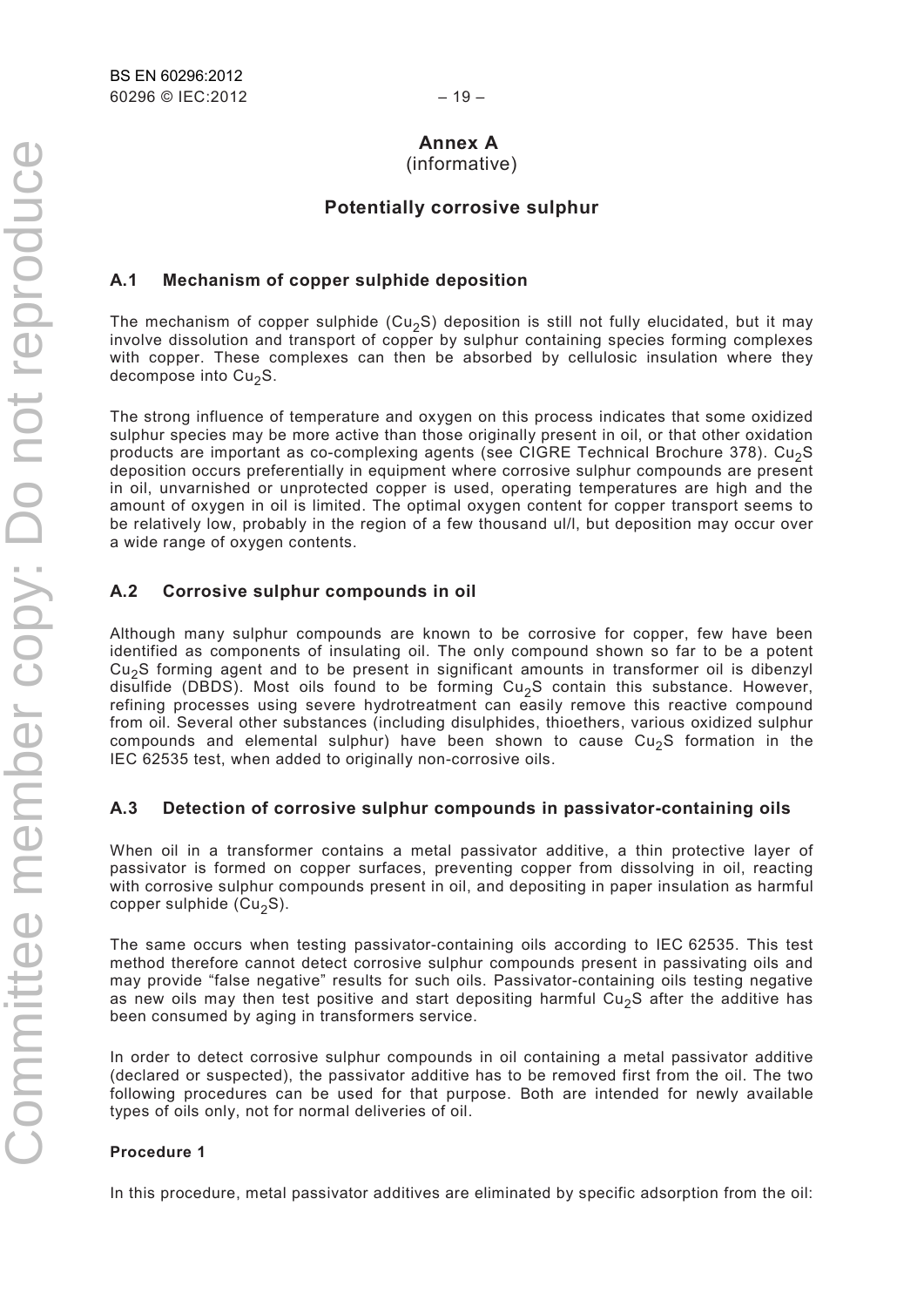### **Annex A**

(informative)

#### **Potentially corrosive sulphur**

#### **A.1 Mechanism of copper sulphide deposition**

The mechanism of copper sulphide (Cu<sub>2</sub>S) deposition is still not fully elucidated, but it may involve dissolution and transport of copper by sulphur containing species forming complexes with copper. These complexes can then be absorbed by cellulosic insulation where they decompose into  $Cu<sub>2</sub>S$ .

The strong influence of temperature and oxygen on this process indicates that some oxidized sulphur species may be more active than those originally present in oil, or that other oxidation products are important as co-complexing agents (see CIGRE Technical Brochure 378). Cu<sub>2</sub>S deposition occurs preferentially in equipment where corrosive sulphur compounds are present in oil, unvarnished or unprotected copper is used, operating temperatures are high and the amount of oxygen in oil is limited. The optimal oxygen content for copper transport seems to be relatively low, probably in the region of a few thousand ul/l, but deposition may occur over a wide range of oxygen contents.

#### **A.2 Corrosive sulphur compounds in oil**

Although many sulphur compounds are known to be corrosive for copper, few have been identified as components of insulating oil. The only compound shown so far to be a potent  $Cu<sub>2</sub>S$  forming agent and to be present in significant amounts in transformer oil is dibenzyl disulfide (DBDS). Most oils found to be forming  $Cu<sub>2</sub>S$  contain this substance. However, refining processes using severe hydrotreatment can easily remove this reactive compound from oil. Several other substances (including disulphides, thioethers, various oxidized sulphur compounds and elemental sulphur) have been shown to cause  $Cu<sub>2</sub>S$  formation in the IEC 62535 test, when added to originally non-corrosive oils.

#### **A.3 Detection of corrosive sulphur compounds in passivator-containing oils**

When oil in a transformer contains a metal passivator additive, a thin protective layer of passivator is formed on copper surfaces, preventing copper from dissolving in oil, reacting with corrosive sulphur compounds present in oil, and depositing in paper insulation as harmful copper sulphide ( $Cu<sub>2</sub>S$ ).

The same occurs when testing passivator-containing oils according to IEC 62535. This test method therefore cannot detect corrosive sulphur compounds present in passivating oils and may provide "false negative" results for such oils. Passivator-containing oils testing negative as new oils may then test positive and start depositing harmful Cu<sub>2</sub>S after the additive has been consumed by aging in transformers service.

In order to detect corrosive sulphur compounds in oil containing a metal passivator additive (declared or suspected), the passivator additive has to be removed first from the oil. The two following procedures can be used for that purpose. Both are intended for newly available types of oils only, not for normal deliveries of oil.

#### **Procedure 1**

In this procedure, metal passivator additives are eliminated by specific adsorption from the oil: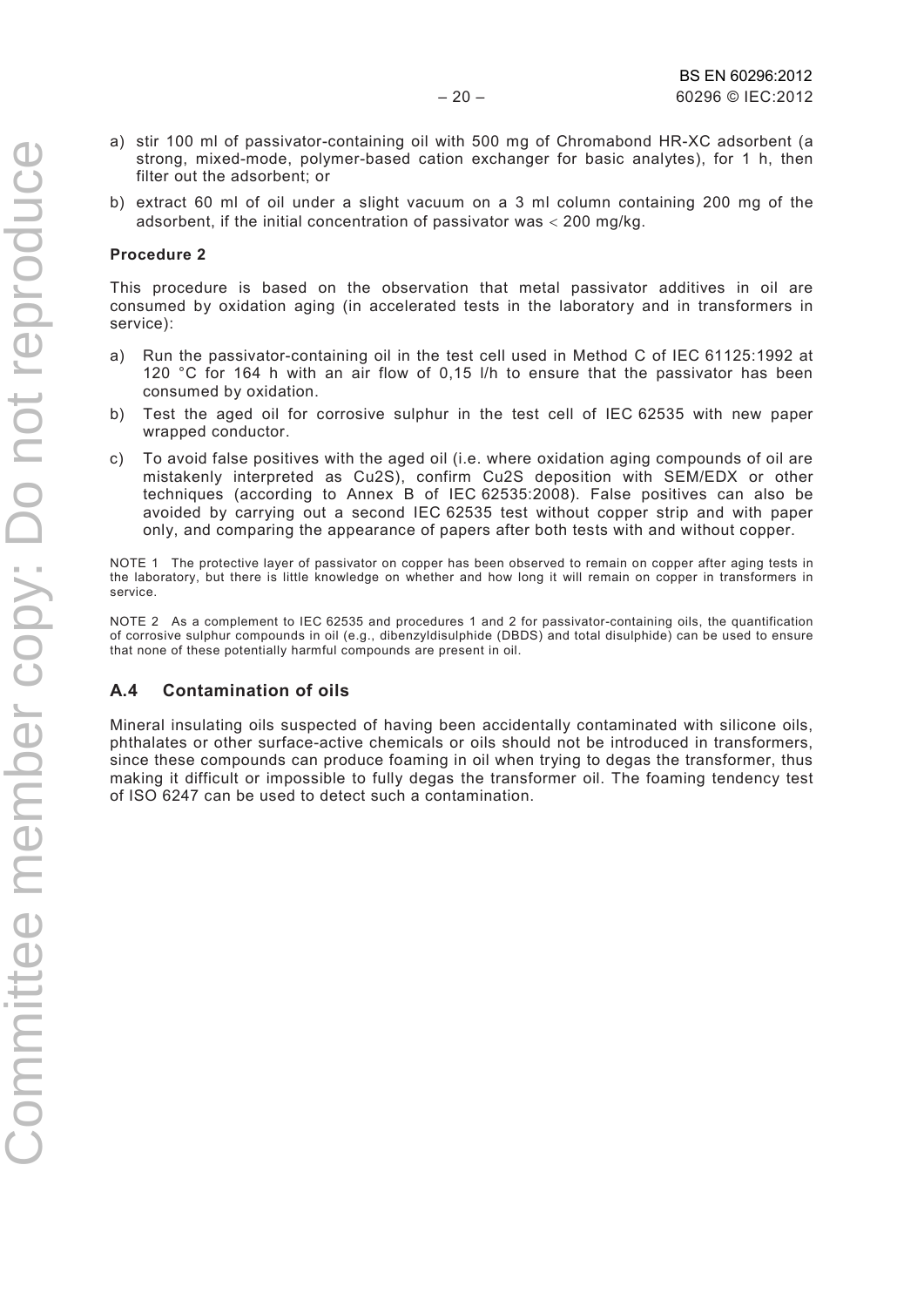- a) stir 100 ml of passivator-containing oil with 500 mg of Chromabond HR-XC adsorbent (a strong, mixed-mode, polymer-based cation exchanger for basic analytes), for 1 h, then filter out the adsorbent; or
- b) extract 60 ml of oil under a slight vacuum on a 3 ml column containing 200 mg of the adsorbent, if the initial concentration of passivator was < 200 mg/kg.

#### **Procedure 2**

This procedure is based on the observation that metal passivator additives in oil are consumed by oxidation aging (in accelerated tests in the laboratory and in transformers in service):

- a) Run the passivator-containing oil in the test cell used in Method C of IEC 61125:1992 at 120 °C for 164 h with an air flow of 0,15 l/h to ensure that the passivator has been consumed by oxidation.
- b) Test the aged oil for corrosive sulphur in the test cell of IEC 62535 with new paper wrapped conductor.
- c) To avoid false positives with the aged oil (i.e. where oxidation aging compounds of oil are mistakenly interpreted as Cu2S), confirm Cu2S deposition with SEM/EDX or other techniques (according to Annex B of IEC 62535:2008). False positives can also be avoided by carrying out a second IEC 62535 test without copper strip and with paper only, and comparing the appearance of papers after both tests with and without copper.

NOTE 1 The protective layer of passivator on copper has been observed to remain on copper after aging tests in the laboratory, but there is little knowledge on whether and how long it will remain on copper in transformers in service.

NOTE 2 As a complement to IEC 62535 and procedures 1 and 2 for passivator-containing oils, the quantification of corrosive sulphur compounds in oil (e.g., dibenzyldisulphide (DBDS) and total disulphide) can be used to ensure that none of these potentially harmful compounds are present in oil.

#### **A.4 Contamination of oils**

Mineral insulating oils suspected of having been accidentally contaminated with silicone oils, phthalates or other surface-active chemicals or oils should not be introduced in transformers, since these compounds can produce foaming in oil when trying to degas the transformer, thus making it difficult or impossible to fully degas the transformer oil. The foaming tendency test of ISO 6247 can be used to detect such a contamination.